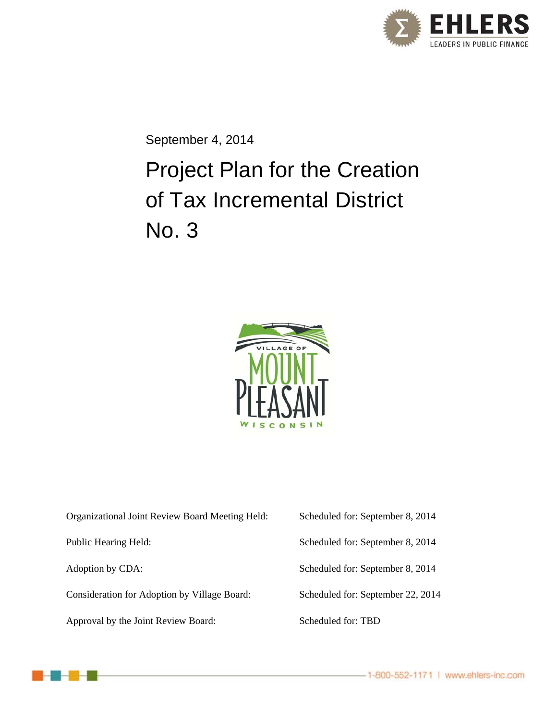

September 4, 2014

# Project Plan for the Creation of Tax Incremental District No. 3



| Organizational Joint Review Board Meeting Held: | Scheduled for: September 8, 2014  |
|-------------------------------------------------|-----------------------------------|
| Public Hearing Held:                            | Scheduled for: September 8, 2014  |
| Adoption by CDA:                                | Scheduled for: September 8, 2014  |
| Consideration for Adoption by Village Board:    | Scheduled for: September 22, 2014 |
| Approval by the Joint Review Board:             | Scheduled for: TBD                |

-1-800-552-1171 | www.ehlers-inc.com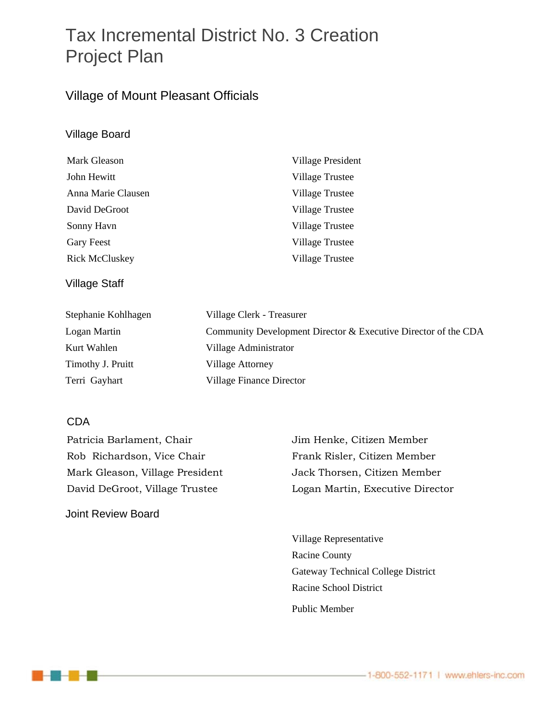## Tax Incremental District No. 3 Creation Project Plan

### Village of Mount Pleasant Officials

#### Village Board

| Mark Gleason          | Village President      |
|-----------------------|------------------------|
| John Hewitt           | Village Trustee        |
| Anna Marie Clausen    | <b>Village Trustee</b> |
| David DeGroot         | Village Trustee        |
| Sonny Havn            | <b>Village Trustee</b> |
| <b>Gary Feest</b>     | <b>Village Trustee</b> |
| <b>Rick McCluskey</b> | <b>Village Trustee</b> |

#### Village Staff

| Stephanie Kohlhagen | Village Clerk - Treasurer                                      |
|---------------------|----------------------------------------------------------------|
| Logan Martin        | Community Development Director & Executive Director of the CDA |
| Kurt Wahlen         | Village Administrator                                          |
| Timothy J. Pruitt   | <b>Village Attorney</b>                                        |
| Terri Gayhart       | Village Finance Director                                       |

#### CDA

Patricia Barlament, Chair Jim Henke, Citizen Member Rob Richardson, Vice Chair Frank Risler, Citizen Member Mark Gleason, Village President Jack Thorsen, Citizen Member

Joint Review Board

David DeGroot, Village Trustee Logan Martin, Executive Director

 Village Representative Racine County Gateway Technical College District Racine School District Public Member

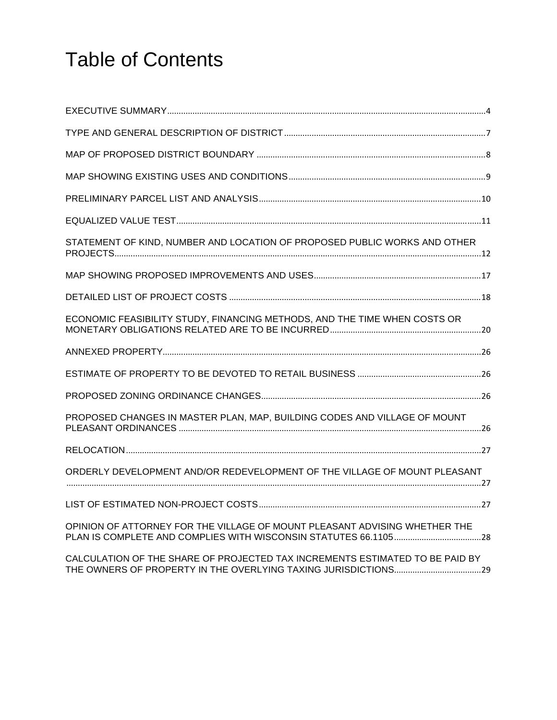# Table of Contents

| STATEMENT OF KIND, NUMBER AND LOCATION OF PROPOSED PUBLIC WORKS AND OTHER     |  |
|-------------------------------------------------------------------------------|--|
|                                                                               |  |
|                                                                               |  |
| ECONOMIC FEASIBILITY STUDY, FINANCING METHODS, AND THE TIME WHEN COSTS OR     |  |
|                                                                               |  |
|                                                                               |  |
|                                                                               |  |
| PROPOSED CHANGES IN MASTER PLAN, MAP, BUILDING CODES AND VILLAGE OF MOUNT     |  |
|                                                                               |  |
| ORDERLY DEVELOPMENT AND/OR REDEVELOPMENT OF THE VILLAGE OF MOUNT PLEASANT     |  |
|                                                                               |  |
| OPINION OF ATTORNEY FOR THE VILLAGE OF MOUNT PLEASANT ADVISING WHETHER THE    |  |
| CALCULATION OF THE SHARE OF PRO IFCTED TAX INCREMENTS ESTIMATED TO RE PAID BY |  |

CALCULATION OF THE SHARE OF PROJECTED TAX INCREMENTS ESTIMATED TO BE PAID BY THE OWNERS OF PROPERTY IN THE OVERLYING TAXING JURISDICTIONS......................................29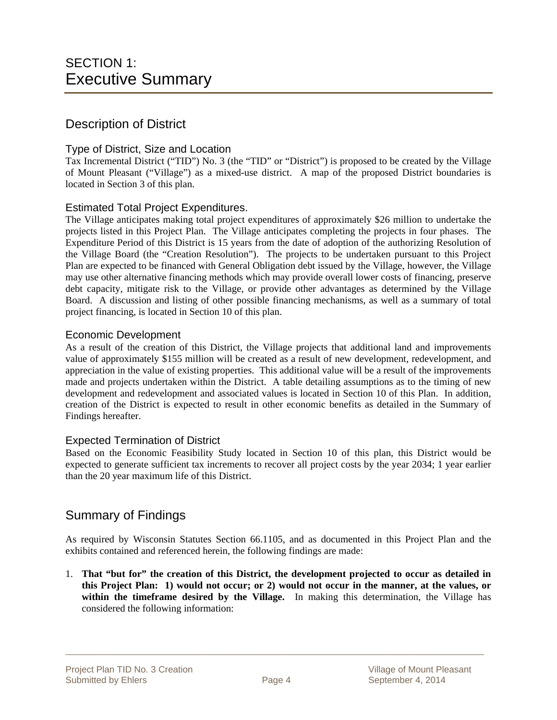#### Description of District

#### Type of District, Size and Location

Tax Incremental District ("TID") No. 3 (the "TID" or "District") is proposed to be created by the Village of Mount Pleasant ("Village") as a mixed-use district. A map of the proposed District boundaries is located in Section 3 of this plan.

#### Estimated Total Project Expenditures.

The Village anticipates making total project expenditures of approximately \$26 million to undertake the projects listed in this Project Plan. The Village anticipates completing the projects in four phases. The Expenditure Period of this District is 15 years from the date of adoption of the authorizing Resolution of the Village Board (the "Creation Resolution"). The projects to be undertaken pursuant to this Project Plan are expected to be financed with General Obligation debt issued by the Village, however, the Village may use other alternative financing methods which may provide overall lower costs of financing, preserve debt capacity, mitigate risk to the Village, or provide other advantages as determined by the Village Board. A discussion and listing of other possible financing mechanisms, as well as a summary of total project financing, is located in Section 10 of this plan.

#### Economic Development

As a result of the creation of this District, the Village projects that additional land and improvements value of approximately \$155 million will be created as a result of new development, redevelopment, and appreciation in the value of existing properties. This additional value will be a result of the improvements made and projects undertaken within the District. A table detailing assumptions as to the timing of new development and redevelopment and associated values is located in Section 10 of this Plan. In addition, creation of the District is expected to result in other economic benefits as detailed in the Summary of Findings hereafter.

#### Expected Termination of District

Based on the Economic Feasibility Study located in Section 10 of this plan, this District would be expected to generate sufficient tax increments to recover all project costs by the year 2034; 1 year earlier than the 20 year maximum life of this District.

#### Summary of Findings

As required by Wisconsin Statutes Section 66.1105, and as documented in this Project Plan and the exhibits contained and referenced herein, the following findings are made:

1. **That "but for" the creation of this District, the development projected to occur as detailed in this Project Plan: 1) would not occur; or 2) would not occur in the manner, at the values, or within the timeframe desired by the Village.** In making this determination, the Village has considered the following information: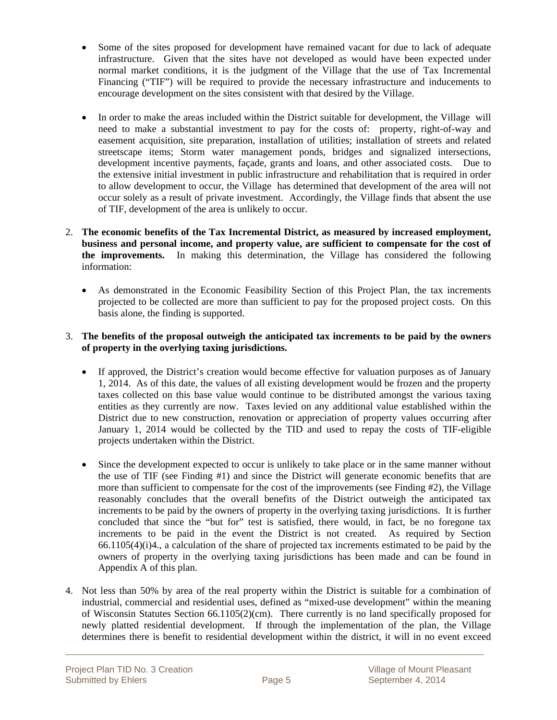- Some of the sites proposed for development have remained vacant for due to lack of adequate infrastructure. Given that the sites have not developed as would have been expected under normal market conditions, it is the judgment of the Village that the use of Tax Incremental Financing ("TIF") will be required to provide the necessary infrastructure and inducements to encourage development on the sites consistent with that desired by the Village.
- In order to make the areas included within the District suitable for development, the Village will need to make a substantial investment to pay for the costs of: property, right-of-way and easement acquisition, site preparation, installation of utilities; installation of streets and related streetscape items; Storm water management ponds, bridges and signalized intersections, development incentive payments, façade, grants and loans, and other associated costs. Due to the extensive initial investment in public infrastructure and rehabilitation that is required in order to allow development to occur, the Village has determined that development of the area will not occur solely as a result of private investment. Accordingly, the Village finds that absent the use of TIF, development of the area is unlikely to occur.
- 2. **The economic benefits of the Tax Incremental District, as measured by increased employment, business and personal income, and property value, are sufficient to compensate for the cost of the improvements.** In making this determination, the Village has considered the following information:
	- As demonstrated in the Economic Feasibility Section of this Project Plan, the tax increments projected to be collected are more than sufficient to pay for the proposed project costs. On this basis alone, the finding is supported.

#### 3. **The benefits of the proposal outweigh the anticipated tax increments to be paid by the owners of property in the overlying taxing jurisdictions.**

- If approved, the District's creation would become effective for valuation purposes as of January 1, 2014. As of this date, the values of all existing development would be frozen and the property taxes collected on this base value would continue to be distributed amongst the various taxing entities as they currently are now. Taxes levied on any additional value established within the District due to new construction, renovation or appreciation of property values occurring after January 1, 2014 would be collected by the TID and used to repay the costs of TIF-eligible projects undertaken within the District.
- Since the development expected to occur is unlikely to take place or in the same manner without the use of TIF (see Finding #1) and since the District will generate economic benefits that are more than sufficient to compensate for the cost of the improvements (see Finding #2), the Village reasonably concludes that the overall benefits of the District outweigh the anticipated tax increments to be paid by the owners of property in the overlying taxing jurisdictions. It is further concluded that since the "but for" test is satisfied, there would, in fact, be no foregone tax increments to be paid in the event the District is not created. As required by Section 66.1105(4)(i)4., a calculation of the share of projected tax increments estimated to be paid by the owners of property in the overlying taxing jurisdictions has been made and can be found in Appendix A of this plan.
- 4. Not less than 50% by area of the real property within the District is suitable for a combination of industrial, commercial and residential uses, defined as "mixed-use development" within the meaning of Wisconsin Statutes Section 66.1105(2)(cm). There currently is no land specifically proposed for newly platted residential development. If through the implementation of the plan, the Village determines there is benefit to residential development within the district, it will in no event exceed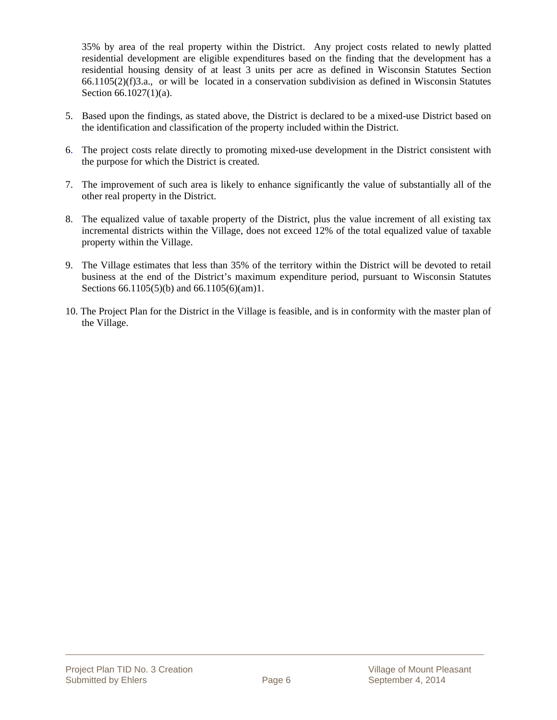35% by area of the real property within the District. Any project costs related to newly platted residential development are eligible expenditures based on the finding that the development has a residential housing density of at least 3 units per acre as defined in Wisconsin Statutes Section 66.1105(2)(f)3.a., or will be located in a conservation subdivision as defined in Wisconsin Statutes Section 66.1027(1)(a).

- 5. Based upon the findings, as stated above, the District is declared to be a mixed-use District based on the identification and classification of the property included within the District.
- 6. The project costs relate directly to promoting mixed-use development in the District consistent with the purpose for which the District is created.
- 7. The improvement of such area is likely to enhance significantly the value of substantially all of the other real property in the District.
- 8. The equalized value of taxable property of the District, plus the value increment of all existing tax incremental districts within the Village, does not exceed 12% of the total equalized value of taxable property within the Village.
- 9. The Village estimates that less than 35% of the territory within the District will be devoted to retail business at the end of the District's maximum expenditure period, pursuant to Wisconsin Statutes Sections 66.1105(5)(b) and 66.1105(6)(am)1.
- 10. The Project Plan for the District in the Village is feasible, and is in conformity with the master plan of the Village.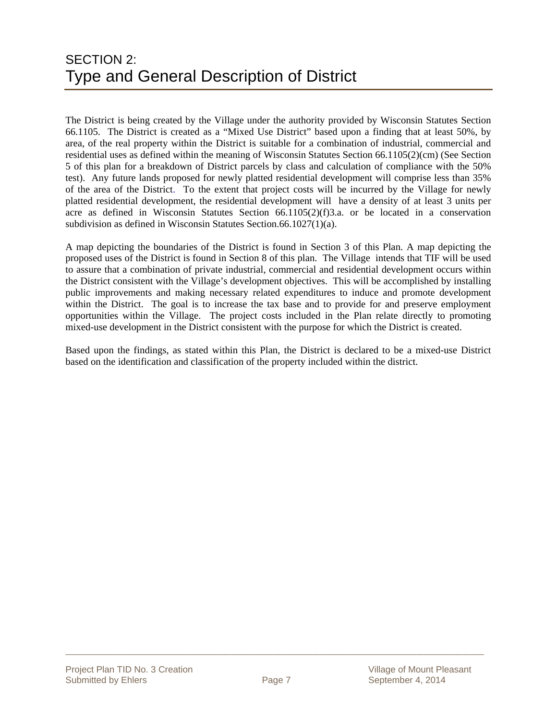The District is being created by the Village under the authority provided by Wisconsin Statutes Section 66.1105. The District is created as a "Mixed Use District" based upon a finding that at least 50%, by area, of the real property within the District is suitable for a combination of industrial, commercial and residential uses as defined within the meaning of Wisconsin Statutes Section 66.1105(2)(cm) (See Section 5 of this plan for a breakdown of District parcels by class and calculation of compliance with the 50% test). Any future lands proposed for newly platted residential development will comprise less than 35% of the area of the District. To the extent that project costs will be incurred by the Village for newly platted residential development, the residential development will have a density of at least 3 units per acre as defined in Wisconsin Statutes Section 66.1105(2)(f)3.a. or be located in a conservation subdivision as defined in Wisconsin Statutes Section.66.1027(1)(a).

A map depicting the boundaries of the District is found in Section 3 of this Plan. A map depicting the proposed uses of the District is found in Section 8 of this plan. The Village intends that TIF will be used to assure that a combination of private industrial, commercial and residential development occurs within the District consistent with the Village's development objectives. This will be accomplished by installing public improvements and making necessary related expenditures to induce and promote development within the District. The goal is to increase the tax base and to provide for and preserve employment opportunities within the Village. The project costs included in the Plan relate directly to promoting mixed-use development in the District consistent with the purpose for which the District is created.

Based upon the findings, as stated within this Plan, the District is declared to be a mixed-use District based on the identification and classification of the property included within the district.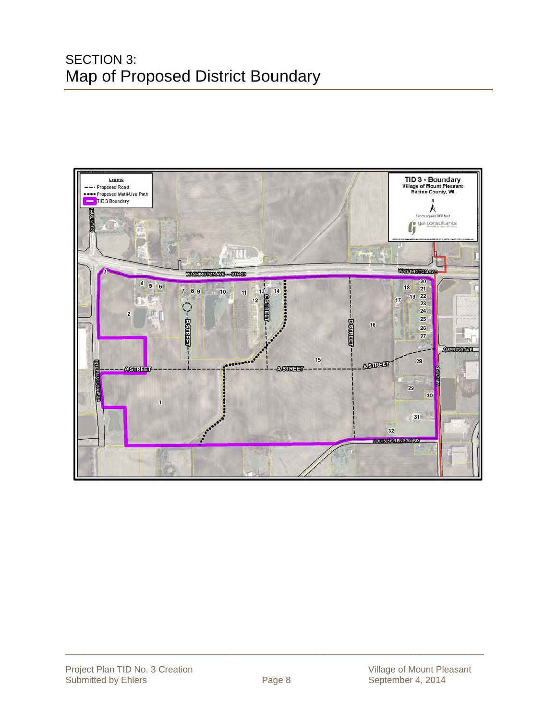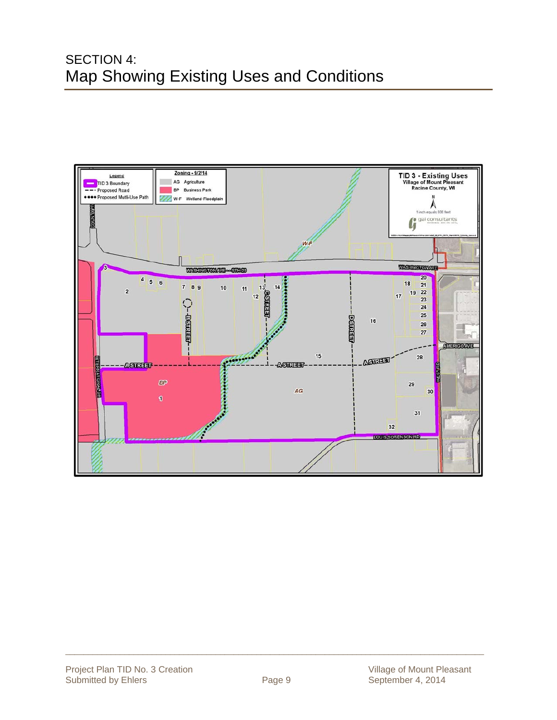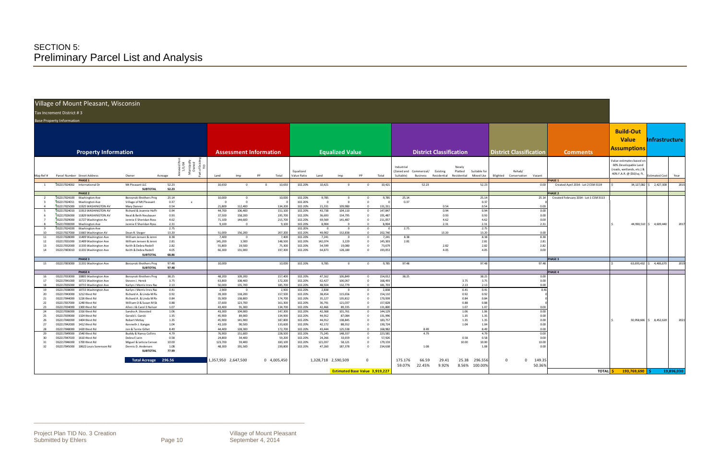\_\_\_\_\_\_\_\_\_\_\_\_\_\_\_\_\_\_\_\_\_\_\_\_\_\_\_\_\_\_\_\_\_\_\_\_\_\_\_\_\_\_\_\_\_\_\_\_\_\_\_\_\_\_\_\_\_\_\_\_\_\_\_\_\_\_\_\_\_\_\_\_\_\_\_\_\_\_\_\_\_\_\_\_\_\_\_\_\_\_\_\_

#### Increment District ## 3

#### Village of Mount Pleasant, Wisconsin

|  | Base Property Information |  |
|--|---------------------------|--|
|  |                           |  |

|                    | Village of Mount Pleasant, Wisconsin                         |                                       |                                                            |                     |                   |                               |                    |                         |                                       |                            |                   |                        |        |                                  |                      |   |                                |                                        |                           |                |            |
|--------------------|--------------------------------------------------------------|---------------------------------------|------------------------------------------------------------|---------------------|-------------------|-------------------------------|--------------------|-------------------------|---------------------------------------|----------------------------|-------------------|------------------------|--------|----------------------------------|----------------------|---|--------------------------------|----------------------------------------|---------------------------|----------------|------------|
|                    |                                                              |                                       |                                                            |                     |                   |                               |                    |                         |                                       |                            |                   |                        |        |                                  |                      |   |                                |                                        |                           |                |            |
|                    | Tax Increment District #3                                    |                                       |                                                            |                     |                   |                               |                    |                         |                                       |                            |                   |                        |        |                                  |                      |   |                                |                                        |                           |                |            |
|                    | <b>Base Property Information</b>                             |                                       |                                                            |                     |                   |                               |                    |                         |                                       |                            |                   |                        |        |                                  |                      |   |                                |                                        |                           |                |            |
|                    |                                                              |                                       |                                                            |                     |                   |                               |                    |                         |                                       |                            |                   |                        |        |                                  |                      |   |                                |                                        |                           |                |            |
|                    |                                                              |                                       |                                                            |                     |                   |                               |                    |                         |                                       |                            |                   |                        |        |                                  |                      |   |                                |                                        | <b>Build-Out</b>          |                |            |
|                    |                                                              |                                       |                                                            |                     |                   |                               |                    |                         |                                       |                            |                   |                        |        |                                  |                      |   |                                |                                        |                           |                |            |
|                    |                                                              |                                       |                                                            |                     |                   |                               |                    |                         |                                       |                            |                   |                        |        |                                  |                      |   |                                |                                        | <b>Value</b>              | Infrastructure |            |
|                    |                                                              |                                       |                                                            |                     |                   |                               |                    |                         |                                       |                            |                   |                        |        |                                  |                      |   |                                |                                        |                           |                |            |
|                    |                                                              |                                       |                                                            |                     |                   |                               |                    |                         |                                       |                            |                   |                        |        |                                  |                      |   |                                |                                        | <b>Assumptions</b>        |                |            |
|                    | <b>Property Information</b>                                  |                                       |                                                            |                     |                   | <b>Assessment Information</b> |                    |                         | <b>Equalized Value</b>                |                            |                   |                        |        | <b>District Classification</b>   |                      |   | <b>District Classification</b> | <b>Comments</b>                        |                           |                |            |
|                    |                                                              |                                       |                                                            |                     |                   |                               |                    |                         |                                       |                            |                   |                        |        |                                  |                      |   |                                |                                        | /alue estimates based on  |                |            |
|                    |                                                              |                                       | nexed Po:<br>1/1/04<br>Lunicipally<br>Owned<br>Cof Existin |                     |                   |                               |                    |                         |                                       |                            |                   |                        |        |                                  |                      |   |                                |                                        | 60% Developable Land      |                |            |
|                    |                                                              |                                       |                                                            |                     |                   |                               |                    |                         |                                       |                            |                   | Industrial             |        | Newly                            |                      |   |                                |                                        | (roads, wetlands, etc.) & |                |            |
|                    |                                                              |                                       | Σ.                                                         |                     |                   |                               | Equalized          |                         |                                       |                            |                   | (Zoned and Commercial/ |        | Platted<br>Existing              | Suitable for         |   | Rehab/                         |                                        | 40% F.A.R. @ \$50/sq. ft  |                |            |
|                    | Map Ref # Parcel Number Street Address                       | Owner                                 | Acreage                                                    | <b>Land</b>         | Imn               | Total                         | alue Ratio         | Land                    | Imn                                   | pp                         | Total             | Suitable)              |        | Business Residential Residential | Mixed Use            |   | Blighted Conservation Vacant   |                                        |                           | stimated Cost  | Year       |
|                    | <b>PHASE 1</b>                                               |                                       |                                                            |                     |                   |                               |                    |                         |                                       |                            |                   |                        |        |                                  |                      |   |                                | <b>PHASE 1</b>                         |                           |                |            |
| $\overline{1}$     | 032217024002<br>International Dr                             | Mt Pleasant LLC<br><b>SUBTOTAL</b>    | 52.23<br>52.23                                             | 10,650              | $\Omega$          | 10,650<br>$\Omega$            | 102.20%            | 10,421                  | $\overline{0}$                        | $\Omega$                   | 10,421            |                        | 52.23  |                                  | 52.23                |   | 0.00                           | Created April 2014 - Lot 2 CSM 3119    | 34,127,082                | $5$ 2,427,300  | 2015       |
|                    | PHASE 2                                                      |                                       |                                                            |                     |                   |                               |                    |                         |                                       |                            |                   |                        |        |                                  |                      |   |                                | <b>PHASE 2</b>                         |                           |                |            |
| - 2                | 032217024100 Washington Ave                                  | Borzynski Brothers Prop               | 25.14                                                      | 10,000              | $\Omega$          | 10,000                        | 102.20%            | 9,785                   | $\mathbf{0}$                          |                            | 9,785             | 25.14                  |        |                                  | 25.14                |   | 25.14                          | Created February 2014 - Lot 1 CSM 3113 |                           |                |            |
| $\overline{3}$     | 032217024011 Washington Ave                                  | Village of Mt Pleasant                | 0.37<br>$\mathbf{x}$                                       |                     |                   |                               | 102.20%            | $\Omega$                | $\Omega$                              |                            |                   | 0.37                   |        |                                  | 0.37                 |   |                                |                                        |                           |                |            |
|                    | 032217025000 11925 WASHINGTON AV                             | Mary Danner                           | 0.54                                                       | 21,800              | 112,400           | 134,200                       | 102.20%            | 21,331                  | 109,980                               |                            | 131,311           |                        |        | 0.54                             | 0.54                 |   | 0.00                           |                                        |                           |                |            |
| - 5                | 032217024010 11913 WASHINGTON AV                             | Richard & Jeannie Hoffr               | 0.94                                                       | 44,700              | 106,400           | 151,100                       | 102.20%            | 43,738                  | 104,110                               | $^{\circ}$                 | 147,847           |                        |        | 0.94                             | 0.94                 |   | $0.00\,$                       |                                        |                           |                |            |
| - 6                | 11829 WASHINGTON AV<br>032217026000                          | Neal & Beth Neubauer                  | 0.93                                                       | 37,500              | 158,200           | 195,700                       | 102.20%            | 36,693                  | 154,795                               |                            | 191,487           |                        |        | 0.93                             | 0.93                 |   | 0.00                           |                                        |                           |                |            |
|                    | 032217029000 11727 Washington Av                             | Jennie E Sheridan Ross                | 4.62                                                       | 71,100              | 144,600           | 215,700                       | 102.20%            | 69,569                  | 141,487                               |                            | 211,057           |                        |        | 4.62                             | 4.62                 |   | 0.00                           |                                        |                           |                |            |
|                    | 032217030000 Washington Ave                                  | Jennie E Sheridan Ross                | 2.31                                                       | 9.100               | $\Omega$          | 9,100                         | 102.20%            | 8.904                   | $\Omega$                              |                            | 8,904             |                        |        | 2.31                             | 2.31                 |   | 2.31                           |                                        | 44,990,510 \$ 4,609,440   |                | 2017       |
| - 9                | 032217024200<br>Washington Ave                               |                                       | 2.75                                                       |                     |                   |                               | 102.20%            | $\overline{\mathbf{0}}$ | $\overline{0}$                        |                            |                   | 2.75                   |        |                                  | 2.75                 |   |                                |                                        |                           |                |            |
| 10                 | 032217027000<br>11665 Washington AV                          | Dean R. Steger                        | 13.20                                                      | 51,000              | 156,200           | 207,200                       | 102.20%            | 49.902                  | 152,838                               |                            | 202.740           |                        |        | 13.20                            | 13.20                |   | 0.00                           |                                        |                           |                |            |
| 11                 | 032217028000<br>11409 Washington Ave                         | William Jensen & Jenni                | 8.38                                                       | 7,400               | $\overline{0}$    | 7,400                         | 102.20%            | 7,241                   | $\overline{0}$                        |                            | 7,241             | 8.38                   |        |                                  | 8.38                 |   | 8.38                           |                                        |                           |                |            |
| 12                 | 032217031000<br>11409 Washington Ave                         | William Jensen & Jenni                | 2.81                                                       | 145,200             | 3,300             | 148,500                       | 102.20%            | 142,074                 | 3,229                                 |                            | 145,303           | 2.81                   |        |                                  | 2.81                 |   | 2.81                           |                                        |                           |                |            |
| 13                 | 032217032000 11335 Washington Ave                            | Keith & Debra Redell                  | 2.82                                                       | 55,800              | 19,500            | 75,300                        | 102.20%            | 54,599                  | 19,080                                | $\Omega$                   | 73,679            |                        |        | 2.82                             | 2.82                 |   | 2.82                           |                                        |                           |                |            |
| 14                 | 032217003010 11331 Washington Ave                            | Keith & Debra Redell                  | 4.05                                                       | 66,300              | 131,000           | 197,300                       | 102.20%            | 64,873                  | 128,180                               |                            | 193,053           |                        |        | 4.05                             | 4.05                 |   | 0.00                           |                                        |                           |                |            |
|                    |                                                              | <b>SUBTOTAL</b>                       | 68.86                                                      |                     |                   |                               |                    |                         |                                       |                            |                   |                        |        |                                  |                      |   |                                |                                        |                           |                |            |
|                    | PHASE 3                                                      |                                       |                                                            |                     |                   |                               |                    |                         |                                       |                            |                   |                        |        |                                  |                      |   |                                | <b>PHASE 3</b>                         |                           |                |            |
| 15                 | 032217003000 11331 Washington Ave                            | Borzynski Brothers Prop               | 97.48                                                      | 10,000              |                   | 10,000                        | 102.20%            | 9,785                   | $\overline{0}$                        | $\overline{0}$             | 9,785             | 97.48                  |        |                                  | 97.48                |   | 97.48                          |                                        | 63,693,432 \$4,406,670    |                | 2019       |
|                    | PHASE 4                                                      | <b>SUBTOTAL</b>                       | 97.48                                                      |                     |                   |                               |                    |                         |                                       |                            |                   |                        |        |                                  |                      |   |                                | PHASE 4                                |                           |                |            |
| 16                 | 10805 Washington Ave<br>032217033000                         | Borzynski Brothers Prop               | 38.25                                                      | 48,200              | 109,200           | 157,400                       | 102.20%            | 47,162                  | 106,849                               | $\Omega$                   | 154,012           | 38.25                  |        |                                  | 38.25                |   | 0.00                           |                                        |                           |                |            |
| 17                 | 032217041000<br>10721 Washington Ave                         | Steven J. Herek                       | 3.75                                                       | 63,800              | 108,400           | 172,200                       | 102.20%            | 62,427                  | 106,067                               | $\Omega$                   | 168,493           |                        |        |                                  | 3.75<br>3.75         |   | 0.00                           |                                        |                           |                |            |
|                    | 10715 Washington Ave<br>032217035000                         | Karlyn J Morris Irrev Rao             | 2.13                                                       | 50,000              | 135,700           | 185,700                       | 102.20%            | 48,924                  | 132,779                               | $\Omega$                   | 181,703           |                        |        |                                  | 2.13<br>2.13         |   | 0.00                           |                                        |                           |                |            |
| 19                 | 032217038000<br>10715 Washington Ave                         | Karlyn J Morris Irrev Rac             | 0.41                                                       | 2,900               | $\mathbf{0}$      | 2,900                         | 102.20%            | 2,838                   | $\overline{0}$                        | $\overline{0}$             | 2,838             |                        |        | 0.41                             | 0.41                 |   | 0.41                           |                                        |                           |                |            |
| -20                | 032217043000<br>1212 West Rd                                 | Richard A. & Linda M Rio              | 0.92                                                       | 39,300              | 118,200           | 157,500                       | 102.20%            | 38,454                  | 115,656                               | $\Omega$                   | 154,110           |                        |        |                                  | 0.92<br>0.92         |   |                                |                                        |                           |                |            |
| 21                 | 032217044000<br>1226 West Rd                                 | Richard A. & Linda M Rio              | 0.84                                                       | 35,900              | 138,800           | 174,700                       | 102.20%            | 35,127                  | 135,812                               | $\Omega$                   | 170,939           |                        |        |                                  | 0.84<br>0.84         |   |                                |                                        |                           |                |            |
| 22                 | 032217037000 1240 West Rd                                    | William O & Susan M Sk                | 0.88                                                       | 37,600              | 123,700           | 161,300                       | 102.20%            | 36,791                  | 121,037                               | $\Omega$                   | 157,828           |                        |        |                                  | 0.88<br>0.88         |   |                                |                                        |                           |                |            |
| 23                 | 1300 West Rd<br>032217034000                                 | Allen J & Carol E Nelsor              | 1.07                                                       | 43,400              | 91,300            | 134,700                       | 102.20%            | 42,466                  | 89,335                                | $\Omega$                   | 131,800           |                        |        |                                  | 1.07<br>1.07         |   | 0.00                           |                                        |                           |                |            |
| 24                 | 032217036000<br>1316 West Rd                                 | Sandra A. Skovsted                    | 1.06                                                       | 43,300              | 104,000           | 147,300                       | 102.20%            | 42,368                  | 101,761                               | $\overline{0}$             | 144,129           |                        |        |                                  | 1.06<br>1.06         |   | 0.00                           |                                        |                           |                |            |
| 25                 | 032217039000<br>1324 West Rd                                 | Gerald J. Garski                      | 1.35                                                       | 45,900              | 89,000            | 134,900                       | 102.20%            | 44,912                  | 87,084                                | $\mathbf{0}$               | 131,996           |                        |        |                                  | 1.35<br>1.35         |   | 0.00                           |                                        |                           |                |            |
| - 26               | 032217040000<br>1404 West Rd                                 | Robert McKay                          | 1.35                                                       | 45,900              | 141,900           | 187,800                       | 102.20%            | 44,912                  | 138,845                               | $\Omega$                   | 183,757           |                        |        |                                  | 1.35<br>1.35         |   | 0.00                           |                                        | 50,958,666 \$ 8,452,620   |                | 2021       |
| 27                 | 032217042000 1412 West Rd                                    | Kenneth J. Kangas                     | 1.04                                                       | 43,100              | 90,500            | 133,600                       | 102.20%            | 42,172                  | 88,552                                | $\Omega$                   | 130,724           |                        |        |                                  | 1.04<br>1.04         |   | 0.00                           |                                        |                           |                |            |
| 28                 | 1420 West Rd<br>032217048000                                 | Jon & Terrie Gillet                   | 8.49                                                       | 44,400              | 128,300           | 172,700                       | 102.20%            | 43.444                  | 125.538                               |                            | 168.982           |                        | 8.49   |                                  | 8.49                 |   | 0.00                           |                                        |                           |                |            |
| 29<br>$30^{\circ}$ | 032217049000<br>1540 West Rd<br>032217047020<br>1610 West Rd | Buddy & Nancy Collins<br>Debra E Lein | 4.79<br>0.58                                               | 76,900<br>24,800    | 151,600<br>34,400 | 228,500<br>59,200             | 102.20%<br>102.20% | 75,245<br>24,266        | 148,337<br>33,659                     | $\overline{0}$<br>$\Omega$ | 223,581<br>57,926 |                        | 4.79   |                                  | 4.79<br>0.58<br>0.58 |   | 0.00<br>0.00                   |                                        |                           |                |            |
| 31                 | 032217046000<br>1700 West Rd                                 | Miguel & Leticia Cervan               | 10.00                                                      | 123,700             | 59,400            | 183,100                       | 102.20%            | 121,037                 | 58,121                                | $\mathbf{0}$               | 179,159           |                        |        | 10.00                            | 10.00                |   | 10.00                          |                                        |                           |                |            |
| 32                 | 032217045000 10622 Louis Sorenson Rd                         | Dennis D. Andersen                    | 1.08                                                       | 48,300              | 191,500           | 239,800                       | 102.20%            | 47,260                  | 187,378                               | $\Omega$                   | 234,638           |                        | 1.08   |                                  | 1.08                 |   | 0.00                           |                                        |                           |                |            |
|                    |                                                              | <b>SUBTOTAL</b>                       | 77.99                                                      |                     |                   |                               |                    |                         |                                       |                            |                   |                        |        |                                  |                      |   |                                |                                        |                           |                |            |
|                    |                                                              |                                       |                                                            |                     |                   |                               |                    |                         |                                       |                            |                   |                        |        |                                  |                      |   |                                |                                        |                           |                |            |
|                    |                                                              | <b>Total Acreage</b>                  | 296.56                                                     | 1,357,950 2,647,500 |                   | 0 4,005,450                   |                    | 1,328,718 2,590,509     |                                       | $\Omega$                   |                   | 175.176                | 66.59  | 25.38<br>29.41                   | 296.55               | 0 | 149.35<br>$\mathbf{0}$         |                                        |                           |                |            |
|                    |                                                              |                                       |                                                            |                     |                   |                               |                    |                         |                                       |                            |                   | 59.07%                 | 22.45% | 8.56%<br>9.92%                   | 100.009              |   | 50.36%                         |                                        |                           |                |            |
|                    |                                                              |                                       |                                                            |                     |                   |                               |                    |                         |                                       |                            |                   |                        |        |                                  |                      |   |                                |                                        |                           |                |            |
|                    |                                                              |                                       |                                                            |                     |                   |                               |                    |                         | <b>Estimated Base Value 3,919,227</b> |                            |                   |                        |        |                                  |                      |   |                                | <b>TOTAL</b> S                         | $193,769,690$ \$          |                | 19.896.030 |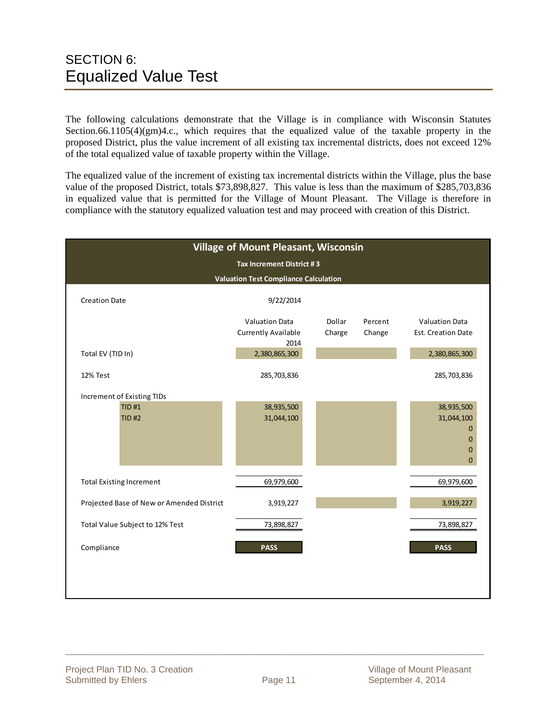The following calculations demonstrate that the Village is in compliance with Wisconsin Statutes Section.66.1105(4)(gm)4.c., which requires that the equalized value of the taxable property in the proposed District, plus the value increment of all existing tax incremental districts, does not exceed 12% of the total equalized value of taxable property within the Village.

The equalized value of the increment of existing tax incremental districts within the Village, plus the base value of the proposed District, totals \$73,898,827. This value is less than the maximum of \$285,703,836 in equalized value that is permitted for the Village of Mount Pleasant. The Village is therefore in compliance with the statutory equalized valuation test and may proceed with creation of this District.

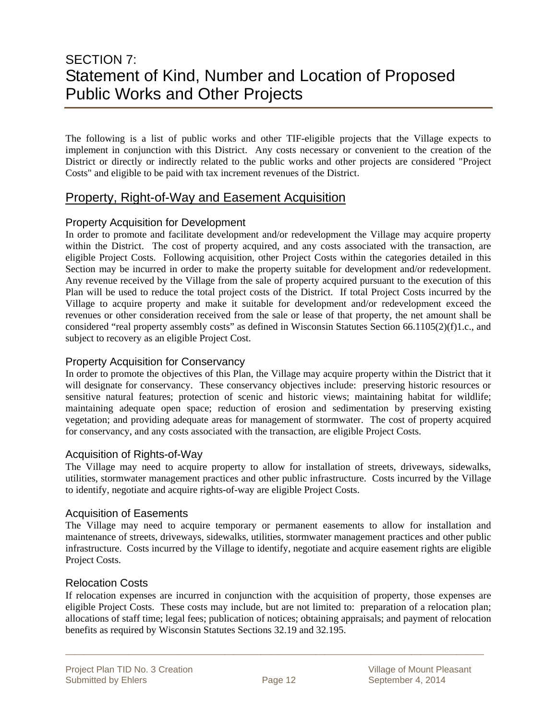### SECTION 7: Statement of Kind, Number and Location of Proposed Public Works and Other Projects

The following is a list of public works and other TIF-eligible projects that the Village expects to implement in conjunction with this District. Any costs necessary or convenient to the creation of the District or directly or indirectly related to the public works and other projects are considered "Project Costs" and eligible to be paid with tax increment revenues of the District.

#### Property, Right-of-Way and Easement Acquisition

#### Property Acquisition for Development

In order to promote and facilitate development and/or redevelopment the Village may acquire property within the District. The cost of property acquired, and any costs associated with the transaction, are eligible Project Costs. Following acquisition, other Project Costs within the categories detailed in this Section may be incurred in order to make the property suitable for development and/or redevelopment. Any revenue received by the Village from the sale of property acquired pursuant to the execution of this Plan will be used to reduce the total project costs of the District. If total Project Costs incurred by the Village to acquire property and make it suitable for development and/or redevelopment exceed the revenues or other consideration received from the sale or lease of that property, the net amount shall be considered "real property assembly costs" as defined in Wisconsin Statutes Section 66.1105(2)(f)1.c., and subject to recovery as an eligible Project Cost.

#### Property Acquisition for Conservancy

In order to promote the objectives of this Plan, the Village may acquire property within the District that it will designate for conservancy. These conservancy objectives include: preserving historic resources or sensitive natural features; protection of scenic and historic views; maintaining habitat for wildlife; maintaining adequate open space; reduction of erosion and sedimentation by preserving existing vegetation; and providing adequate areas for management of stormwater. The cost of property acquired for conservancy, and any costs associated with the transaction, are eligible Project Costs.

#### Acquisition of Rights-of-Way

The Village may need to acquire property to allow for installation of streets, driveways, sidewalks, utilities, stormwater management practices and other public infrastructure. Costs incurred by the Village to identify, negotiate and acquire rights-of-way are eligible Project Costs.

#### Acquisition of Easements

The Village may need to acquire temporary or permanent easements to allow for installation and maintenance of streets, driveways, sidewalks, utilities, stormwater management practices and other public infrastructure. Costs incurred by the Village to identify, negotiate and acquire easement rights are eligible Project Costs.

#### Relocation Costs

If relocation expenses are incurred in conjunction with the acquisition of property, those expenses are eligible Project Costs. These costs may include, but are not limited to: preparation of a relocation plan; allocations of staff time; legal fees; publication of notices; obtaining appraisals; and payment of relocation benefits as required by Wisconsin Statutes Sections 32.19 and 32.195.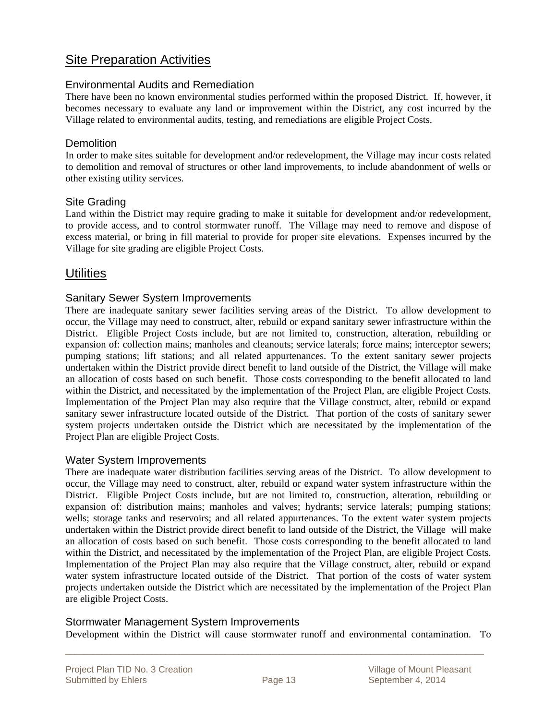#### Site Preparation Activities

#### Environmental Audits and Remediation

There have been no known environmental studies performed within the proposed District. If, however, it becomes necessary to evaluate any land or improvement within the District, any cost incurred by the Village related to environmental audits, testing, and remediations are eligible Project Costs.

#### **Demolition**

In order to make sites suitable for development and/or redevelopment, the Village may incur costs related to demolition and removal of structures or other land improvements, to include abandonment of wells or other existing utility services.

#### Site Grading

Land within the District may require grading to make it suitable for development and/or redevelopment, to provide access, and to control stormwater runoff. The Village may need to remove and dispose of excess material, or bring in fill material to provide for proper site elevations. Expenses incurred by the Village for site grading are eligible Project Costs.

#### **Utilities**

#### Sanitary Sewer System Improvements

There are inadequate sanitary sewer facilities serving areas of the District. To allow development to occur, the Village may need to construct, alter, rebuild or expand sanitary sewer infrastructure within the District. Eligible Project Costs include, but are not limited to, construction, alteration, rebuilding or expansion of: collection mains; manholes and cleanouts; service laterals; force mains; interceptor sewers; pumping stations; lift stations; and all related appurtenances. To the extent sanitary sewer projects undertaken within the District provide direct benefit to land outside of the District, the Village will make an allocation of costs based on such benefit. Those costs corresponding to the benefit allocated to land within the District, and necessitated by the implementation of the Project Plan, are eligible Project Costs. Implementation of the Project Plan may also require that the Village construct, alter, rebuild or expand sanitary sewer infrastructure located outside of the District. That portion of the costs of sanitary sewer system projects undertaken outside the District which are necessitated by the implementation of the Project Plan are eligible Project Costs.

#### Water System Improvements

There are inadequate water distribution facilities serving areas of the District. To allow development to occur, the Village may need to construct, alter, rebuild or expand water system infrastructure within the District. Eligible Project Costs include, but are not limited to, construction, alteration, rebuilding or expansion of: distribution mains; manholes and valves; hydrants; service laterals; pumping stations; wells; storage tanks and reservoirs; and all related appurtenances. To the extent water system projects undertaken within the District provide direct benefit to land outside of the District, the Village will make an allocation of costs based on such benefit. Those costs corresponding to the benefit allocated to land within the District, and necessitated by the implementation of the Project Plan, are eligible Project Costs. Implementation of the Project Plan may also require that the Village construct, alter, rebuild or expand water system infrastructure located outside of the District. That portion of the costs of water system projects undertaken outside the District which are necessitated by the implementation of the Project Plan are eligible Project Costs.

#### Stormwater Management System Improvements

Development within the District will cause stormwater runoff and environmental contamination. To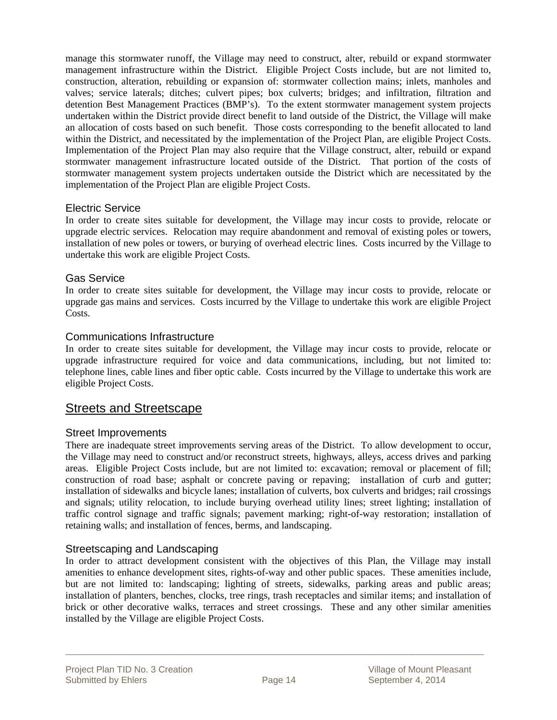manage this stormwater runoff, the Village may need to construct, alter, rebuild or expand stormwater management infrastructure within the District. Eligible Project Costs include, but are not limited to, construction, alteration, rebuilding or expansion of: stormwater collection mains; inlets, manholes and valves; service laterals; ditches; culvert pipes; box culverts; bridges; and infiltration, filtration and detention Best Management Practices (BMP's). To the extent stormwater management system projects undertaken within the District provide direct benefit to land outside of the District, the Village will make an allocation of costs based on such benefit. Those costs corresponding to the benefit allocated to land within the District, and necessitated by the implementation of the Project Plan, are eligible Project Costs. Implementation of the Project Plan may also require that the Village construct, alter, rebuild or expand stormwater management infrastructure located outside of the District. That portion of the costs of stormwater management system projects undertaken outside the District which are necessitated by the implementation of the Project Plan are eligible Project Costs.

#### Electric Service

In order to create sites suitable for development, the Village may incur costs to provide, relocate or upgrade electric services. Relocation may require abandonment and removal of existing poles or towers, installation of new poles or towers, or burying of overhead electric lines. Costs incurred by the Village to undertake this work are eligible Project Costs.

#### Gas Service

In order to create sites suitable for development, the Village may incur costs to provide, relocate or upgrade gas mains and services. Costs incurred by the Village to undertake this work are eligible Project Costs.

#### Communications Infrastructure

In order to create sites suitable for development, the Village may incur costs to provide, relocate or upgrade infrastructure required for voice and data communications, including, but not limited to: telephone lines, cable lines and fiber optic cable. Costs incurred by the Village to undertake this work are eligible Project Costs.

#### **Streets and Streetscape**

#### Street Improvements

There are inadequate street improvements serving areas of the District. To allow development to occur, the Village may need to construct and/or reconstruct streets, highways, alleys, access drives and parking areas. Eligible Project Costs include, but are not limited to: excavation; removal or placement of fill; construction of road base; asphalt or concrete paving or repaving; installation of curb and gutter; installation of sidewalks and bicycle lanes; installation of culverts, box culverts and bridges; rail crossings and signals; utility relocation, to include burying overhead utility lines; street lighting; installation of traffic control signage and traffic signals; pavement marking; right-of-way restoration; installation of retaining walls; and installation of fences, berms, and landscaping.

#### Streetscaping and Landscaping

In order to attract development consistent with the objectives of this Plan, the Village may install amenities to enhance development sites, rights-of-way and other public spaces. These amenities include, but are not limited to: landscaping; lighting of streets, sidewalks, parking areas and public areas; installation of planters, benches, clocks, tree rings, trash receptacles and similar items; and installation of brick or other decorative walks, terraces and street crossings. These and any other similar amenities installed by the Village are eligible Project Costs.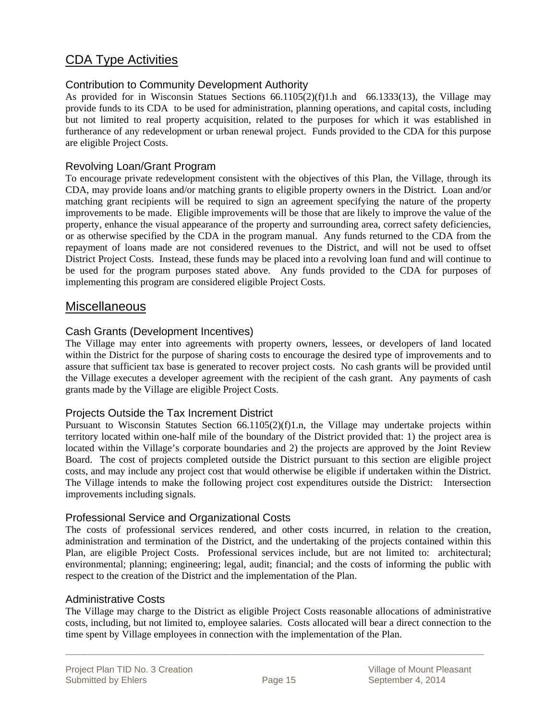#### CDA Type Activities

#### Contribution to Community Development Authority

As provided for in Wisconsin Statues Sections 66.1105(2)(f)1.h and 66.1333(13), the Village may provide funds to its CDA to be used for administration, planning operations, and capital costs, including but not limited to real property acquisition, related to the purposes for which it was established in furtherance of any redevelopment or urban renewal project. Funds provided to the CDA for this purpose are eligible Project Costs.

#### Revolving Loan/Grant Program

To encourage private redevelopment consistent with the objectives of this Plan, the Village, through its CDA, may provide loans and/or matching grants to eligible property owners in the District. Loan and/or matching grant recipients will be required to sign an agreement specifying the nature of the property improvements to be made. Eligible improvements will be those that are likely to improve the value of the property, enhance the visual appearance of the property and surrounding area, correct safety deficiencies, or as otherwise specified by the CDA in the program manual. Any funds returned to the CDA from the repayment of loans made are not considered revenues to the District, and will not be used to offset District Project Costs. Instead, these funds may be placed into a revolving loan fund and will continue to be used for the program purposes stated above. Any funds provided to the CDA for purposes of implementing this program are considered eligible Project Costs.

#### **Miscellaneous**

#### Cash Grants (Development Incentives)

The Village may enter into agreements with property owners, lessees, or developers of land located within the District for the purpose of sharing costs to encourage the desired type of improvements and to assure that sufficient tax base is generated to recover project costs. No cash grants will be provided until the Village executes a developer agreement with the recipient of the cash grant. Any payments of cash grants made by the Village are eligible Project Costs.

#### Projects Outside the Tax Increment District

Pursuant to Wisconsin Statutes Section 66.1105(2)(f)1.n, the Village may undertake projects within territory located within one-half mile of the boundary of the District provided that: 1) the project area is located within the Village's corporate boundaries and 2) the projects are approved by the Joint Review Board. The cost of projects completed outside the District pursuant to this section are eligible project costs, and may include any project cost that would otherwise be eligible if undertaken within the District. The Village intends to make the following project cost expenditures outside the District: Intersection improvements including signals.

#### Professional Service and Organizational Costs

The costs of professional services rendered, and other costs incurred, in relation to the creation, administration and termination of the District, and the undertaking of the projects contained within this Plan, are eligible Project Costs. Professional services include, but are not limited to: architectural; environmental; planning; engineering; legal, audit; financial; and the costs of informing the public with respect to the creation of the District and the implementation of the Plan.

#### Administrative Costs

The Village may charge to the District as eligible Project Costs reasonable allocations of administrative costs, including, but not limited to, employee salaries. Costs allocated will bear a direct connection to the time spent by Village employees in connection with the implementation of the Plan.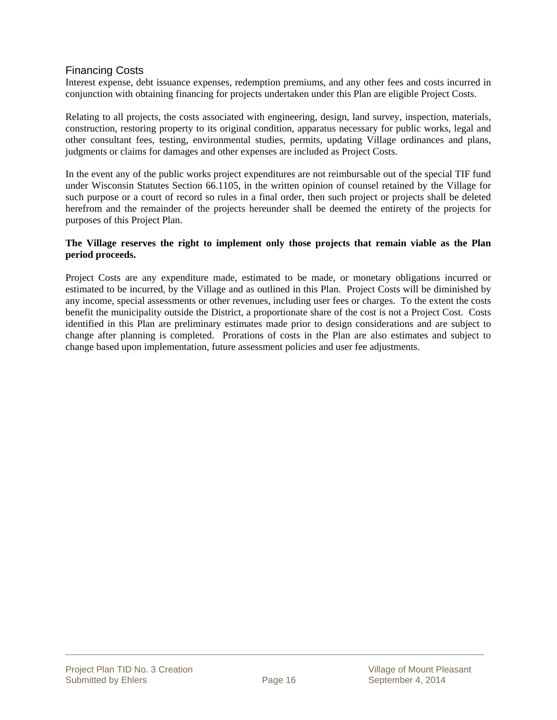#### Financing Costs

Interest expense, debt issuance expenses, redemption premiums, and any other fees and costs incurred in conjunction with obtaining financing for projects undertaken under this Plan are eligible Project Costs.

Relating to all projects, the costs associated with engineering, design, land survey, inspection, materials, construction, restoring property to its original condition, apparatus necessary for public works, legal and other consultant fees, testing, environmental studies, permits, updating Village ordinances and plans, judgments or claims for damages and other expenses are included as Project Costs.

In the event any of the public works project expenditures are not reimbursable out of the special TIF fund under Wisconsin Statutes Section 66.1105, in the written opinion of counsel retained by the Village for such purpose or a court of record so rules in a final order, then such project or projects shall be deleted herefrom and the remainder of the projects hereunder shall be deemed the entirety of the projects for purposes of this Project Plan.

#### **The Village reserves the right to implement only those projects that remain viable as the Plan period proceeds.**

Project Costs are any expenditure made, estimated to be made, or monetary obligations incurred or estimated to be incurred, by the Village and as outlined in this Plan. Project Costs will be diminished by any income, special assessments or other revenues, including user fees or charges. To the extent the costs benefit the municipality outside the District, a proportionate share of the cost is not a Project Cost. Costs identified in this Plan are preliminary estimates made prior to design considerations and are subject to change after planning is completed. Prorations of costs in the Plan are also estimates and subject to change based upon implementation, future assessment policies and user fee adjustments.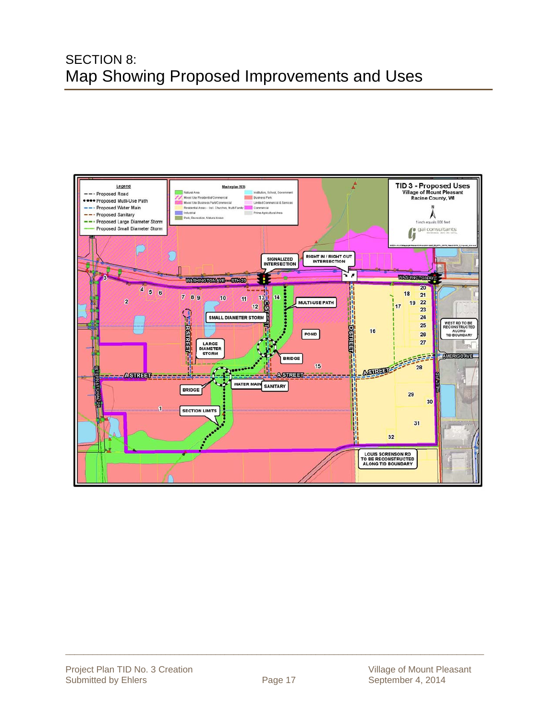### SECTION 8: Map Showing Proposed Improvements and Uses

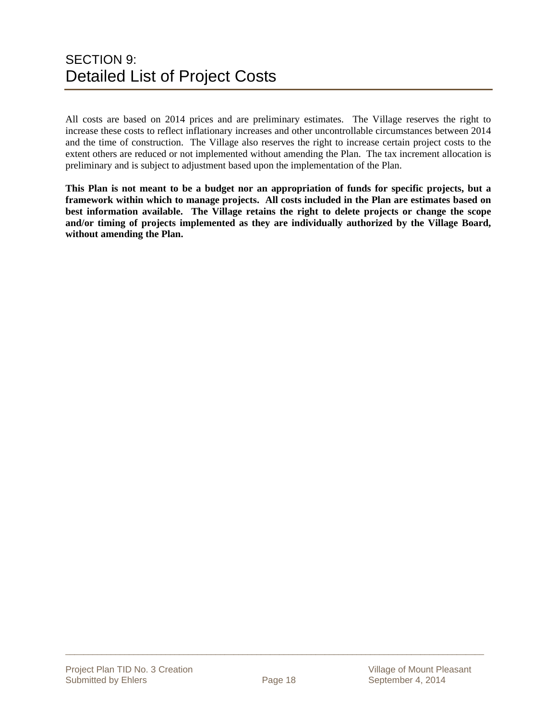### SECTION 9: Detailed List of Project Costs

All costs are based on 2014 prices and are preliminary estimates. The Village reserves the right to increase these costs to reflect inflationary increases and other uncontrollable circumstances between 2014 and the time of construction. The Village also reserves the right to increase certain project costs to the extent others are reduced or not implemented without amending the Plan. The tax increment allocation is preliminary and is subject to adjustment based upon the implementation of the Plan.

**This Plan is not meant to be a budget nor an appropriation of funds for specific projects, but a framework within which to manage projects. All costs included in the Plan are estimates based on best information available. The Village retains the right to delete projects or change the scope and/or timing of projects implemented as they are individually authorized by the Village Board, without amending the Plan.**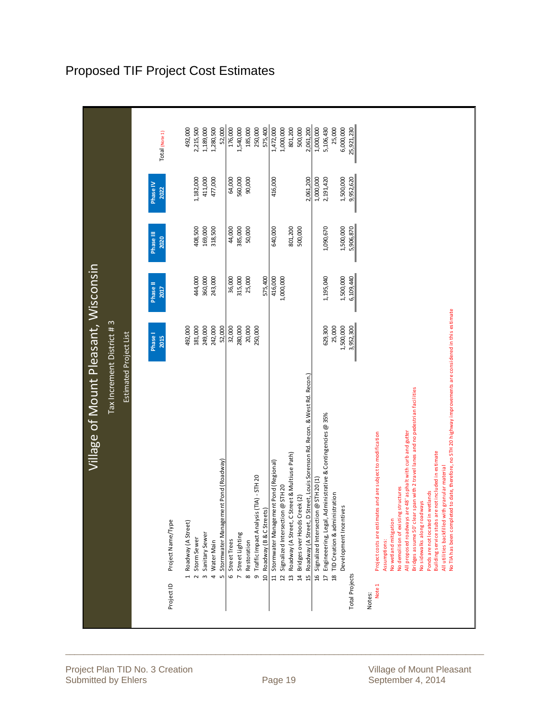|                       | Tax Increment District #3<br>Estimated Project List                                                          |                        | Village of Mount Pleasant, Wisconsin |                   |                  |                |
|-----------------------|--------------------------------------------------------------------------------------------------------------|------------------------|--------------------------------------|-------------------|------------------|----------------|
|                       |                                                                                                              | Phase I<br><b>2015</b> | Phase II<br><b>Z017</b>              | Phase III<br>2020 | Phase IV<br>2022 | Total (Note 1) |
| Project ID            | Project Name/Type                                                                                            |                        |                                      |                   |                  |                |
|                       | 1 Roadway (A Street)                                                                                         | 492,000                |                                      |                   |                  | 492,000        |
|                       | Storm Sewer<br>$\overline{a}$                                                                                | 181,000                | 444,000                              | 408,500           | 1,182,000        | 2,215,500      |
|                       | Sanitary Sewer<br>$\omega$                                                                                   | 249,000                | 360,000                              | 169,000           | 411,000          | 1,189,000      |
|                       | Water Main<br>4                                                                                              | 242,000                | 243,000                              | 318,500           | 477,000          | 1,280,500      |
|                       | Stormwater Management Pond (Roadway)<br>m                                                                    | 52,000                 |                                      |                   |                  | 52,000         |
|                       | 6 Street Trees                                                                                               | 32,000                 | 36,000                               | 44,000            | 64,000           | 176,000        |
|                       | Street Lighting<br>$\overline{D}$                                                                            | 280,000                | 315,000                              | 385,000           | 560,000          | 1,540,000      |
|                       | Restoration<br>$\infty$                                                                                      | 20,000                 | 25,000                               | 50,000            | 90,000           | 185,000        |
|                       | Traffic Impact Analysis (TIA) - STH 20<br>ō                                                                  | 250,000                |                                      |                   |                  | 250,000        |
|                       | 10 Roadway (B & CStreets)                                                                                    |                        | 575,400                              |                   |                  | 575,400        |
|                       | 11 Stormwater Management Pond (Regional)                                                                     |                        | 416,000                              | 640,000           | 416,000          | 1,472,000      |
|                       | Signalized Intersection @ STH 20<br>$\overline{a}$                                                           |                        | 1,000,000                            |                   |                  | 1,000,000      |
|                       | Roadway (A Street, C Street & Multiuse Path)<br>$\overline{13}$                                              |                        |                                      | 801,200           |                  | 801,200        |
|                       | 14 Bridges over Hoods Creek (2)                                                                              |                        |                                      | 500,000           |                  | 500,000        |
|                       | 15 Roadway (A Street, D Street, Louis Sorenson Rd. Recon. & West Rd. Recon.)                                 |                        |                                      |                   | 2.061.200        | 2,061,200      |
|                       | 16 Signalized Intersection @ STH 20 (1)                                                                      |                        |                                      |                   | 1,000,000        | 1,000,000      |
|                       | Administrative & Contingencies @ 35%<br>Engineeering, Legal,<br>$\overline{1}$                               | 629,300                | 1,195,040                            | 1,090,670         | 2,191,420        | 5,106,430      |
|                       | TID Creation & administration<br>$\overline{18}$                                                             | 25,000                 |                                      |                   |                  | 25,000         |
|                       | Development Incentives                                                                                       | 1,500,000              | 1,500,000                            | 1,500,000         | 1,500,000        | 6,000,000      |
| <b>Total Projects</b> |                                                                                                              | 3,952,300              | 6,109,440                            | 5,906,870         | 9,952,620        | 25,921,230     |
| Notes:                |                                                                                                              |                        |                                      |                   |                  |                |
| Note 1                | Project costs are estimates and are subject to modification                                                  |                        |                                      |                   |                  |                |
|                       | Assumptions:                                                                                                 |                        |                                      |                   |                  |                |
|                       | No wetland mitigation                                                                                        |                        |                                      |                   |                  |                |
|                       | All proposed roadways are 48' asphalt with curb and gutter<br>No demolition of existing structures           |                        |                                      |                   |                  |                |
|                       | Bridges assume 50' clear span with 2 travel lanes and no pedestrian facilities                               |                        |                                      |                   |                  |                |
|                       | No si dewalks along roadways                                                                                 |                        |                                      |                   |                  |                |
|                       | Ponds are not located in wetlands                                                                            |                        |                                      |                   |                  |                |
|                       | Building service stubs are not included in estimate                                                          |                        |                                      |                   |                  |                |
|                       | All utilities backfilled with granular material                                                              |                        |                                      |                   |                  |                |
|                       | No TIA has been completed to date, therefore, no STH 20 highway improvements are considered in this estimate |                        |                                      |                   |                  |                |

### Proposed TIF Project Cost Estimates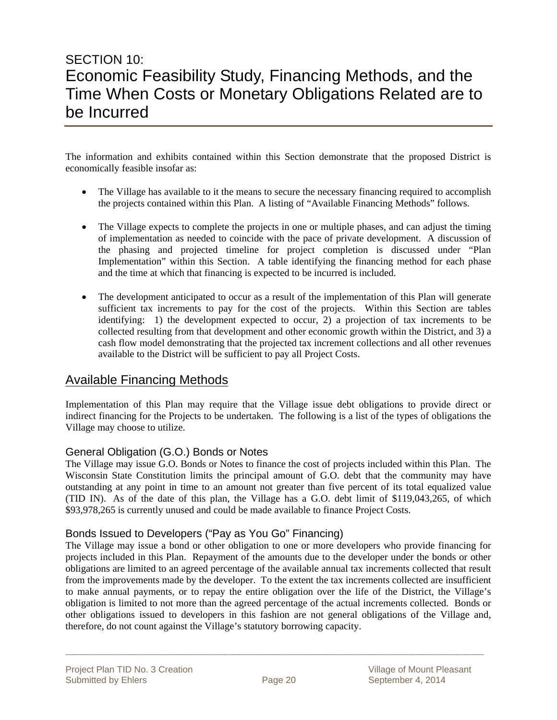### SECTION 10: Economic Feasibility Study, Financing Methods, and the Time When Costs or Monetary Obligations Related are to be Incurred

The information and exhibits contained within this Section demonstrate that the proposed District is economically feasible insofar as:

- The Village has available to it the means to secure the necessary financing required to accomplish the projects contained within this Plan. A listing of "Available Financing Methods" follows.
- The Village expects to complete the projects in one or multiple phases, and can adjust the timing of implementation as needed to coincide with the pace of private development. A discussion of the phasing and projected timeline for project completion is discussed under "Plan Implementation" within this Section. A table identifying the financing method for each phase and the time at which that financing is expected to be incurred is included.
- The development anticipated to occur as a result of the implementation of this Plan will generate sufficient tax increments to pay for the cost of the projects. Within this Section are tables identifying: 1) the development expected to occur, 2) a projection of tax increments to be collected resulting from that development and other economic growth within the District, and 3) a cash flow model demonstrating that the projected tax increment collections and all other revenues available to the District will be sufficient to pay all Project Costs.

#### Available Financing Methods

Implementation of this Plan may require that the Village issue debt obligations to provide direct or indirect financing for the Projects to be undertaken. The following is a list of the types of obligations the Village may choose to utilize.

#### General Obligation (G.O.) Bonds or Notes

The Village may issue G.O. Bonds or Notes to finance the cost of projects included within this Plan. The Wisconsin State Constitution limits the principal amount of G.O. debt that the community may have outstanding at any point in time to an amount not greater than five percent of its total equalized value (TID IN). As of the date of this plan, the Village has a G.O. debt limit of \$119,043,265, of which \$93,978,265 is currently unused and could be made available to finance Project Costs.

#### Bonds Issued to Developers ("Pay as You Go" Financing)

The Village may issue a bond or other obligation to one or more developers who provide financing for projects included in this Plan. Repayment of the amounts due to the developer under the bonds or other obligations are limited to an agreed percentage of the available annual tax increments collected that result from the improvements made by the developer. To the extent the tax increments collected are insufficient to make annual payments, or to repay the entire obligation over the life of the District, the Village's obligation is limited to not more than the agreed percentage of the actual increments collected. Bonds or other obligations issued to developers in this fashion are not general obligations of the Village and, therefore, do not count against the Village's statutory borrowing capacity.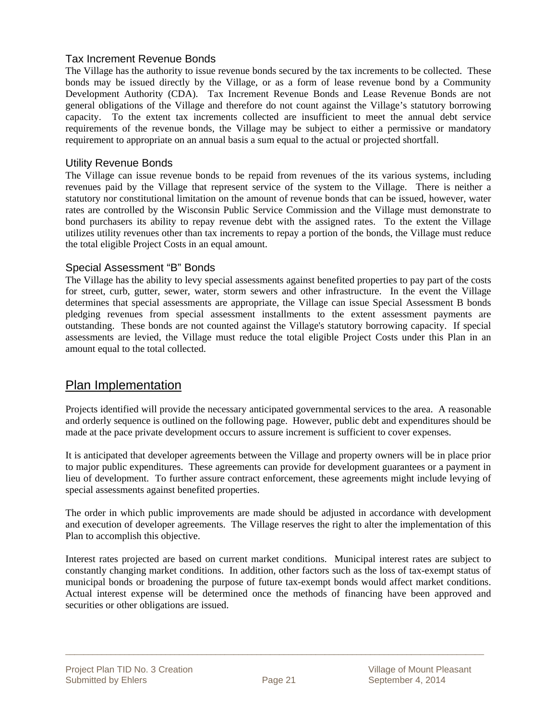#### Tax Increment Revenue Bonds

The Village has the authority to issue revenue bonds secured by the tax increments to be collected. These bonds may be issued directly by the Village, or as a form of lease revenue bond by a Community Development Authority (CDA). Tax Increment Revenue Bonds and Lease Revenue Bonds are not general obligations of the Village and therefore do not count against the Village's statutory borrowing capacity. To the extent tax increments collected are insufficient to meet the annual debt service requirements of the revenue bonds, the Village may be subject to either a permissive or mandatory requirement to appropriate on an annual basis a sum equal to the actual or projected shortfall.

#### Utility Revenue Bonds

The Village can issue revenue bonds to be repaid from revenues of the its various systems, including revenues paid by the Village that represent service of the system to the Village. There is neither a statutory nor constitutional limitation on the amount of revenue bonds that can be issued, however, water rates are controlled by the Wisconsin Public Service Commission and the Village must demonstrate to bond purchasers its ability to repay revenue debt with the assigned rates. To the extent the Village utilizes utility revenues other than tax increments to repay a portion of the bonds, the Village must reduce the total eligible Project Costs in an equal amount.

#### Special Assessment "B" Bonds

The Village has the ability to levy special assessments against benefited properties to pay part of the costs for street, curb, gutter, sewer, water, storm sewers and other infrastructure. In the event the Village determines that special assessments are appropriate, the Village can issue Special Assessment B bonds pledging revenues from special assessment installments to the extent assessment payments are outstanding. These bonds are not counted against the Village's statutory borrowing capacity. If special assessments are levied, the Village must reduce the total eligible Project Costs under this Plan in an amount equal to the total collected.

#### Plan Implementation

Projects identified will provide the necessary anticipated governmental services to the area. A reasonable and orderly sequence is outlined on the following page. However, public debt and expenditures should be made at the pace private development occurs to assure increment is sufficient to cover expenses.

It is anticipated that developer agreements between the Village and property owners will be in place prior to major public expenditures. These agreements can provide for development guarantees or a payment in lieu of development. To further assure contract enforcement, these agreements might include levying of special assessments against benefited properties.

The order in which public improvements are made should be adjusted in accordance with development and execution of developer agreements. The Village reserves the right to alter the implementation of this Plan to accomplish this objective.

Interest rates projected are based on current market conditions. Municipal interest rates are subject to constantly changing market conditions. In addition, other factors such as the loss of tax-exempt status of municipal bonds or broadening the purpose of future tax-exempt bonds would affect market conditions. Actual interest expense will be determined once the methods of financing have been approved and securities or other obligations are issued.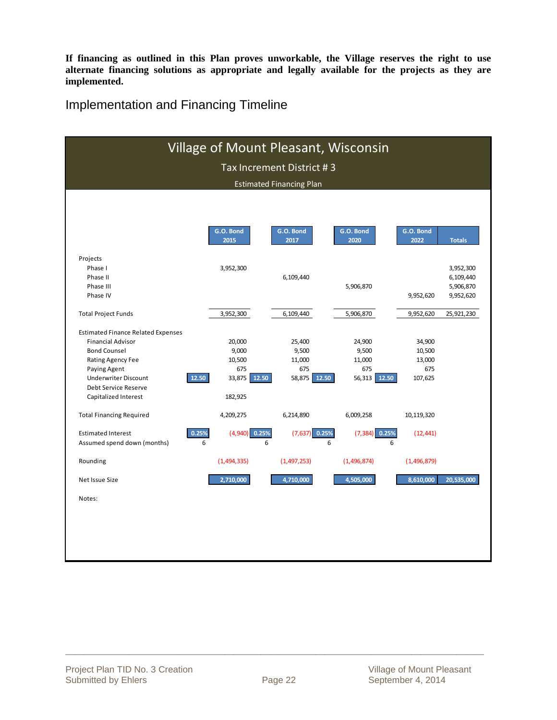**If financing as outlined in this Plan proves unworkable, the Village reserves the right to use alternate financing solutions as appropriate and legally available for the projects as they are implemented.** 

Implementation and Financing Timeline

|                                           | Village of Mount Pleasant, Wisconsin |                                 |                   |             |               |
|-------------------------------------------|--------------------------------------|---------------------------------|-------------------|-------------|---------------|
|                                           |                                      | Tax Increment District #3       |                   |             |               |
|                                           |                                      |                                 |                   |             |               |
|                                           |                                      | <b>Estimated Financing Plan</b> |                   |             |               |
|                                           |                                      |                                 |                   |             |               |
|                                           |                                      |                                 |                   |             |               |
|                                           | G.O. Bond                            | G.O. Bond                       | G.O. Bond         | G.O. Bond   |               |
|                                           | 2015                                 | 2017                            | 2020              | 2022        | <b>Totals</b> |
| Projects                                  |                                      |                                 |                   |             |               |
| Phase I                                   | 3,952,300                            |                                 |                   |             | 3,952,300     |
| Phase II                                  |                                      | 6,109,440                       |                   |             | 6,109,440     |
| Phase III                                 |                                      |                                 | 5,906,870         |             | 5,906,870     |
| Phase IV                                  |                                      |                                 |                   | 9,952,620   | 9,952,620     |
| <b>Total Project Funds</b>                | 3,952,300                            | 6,109,440                       | 5,906,870         | 9,952,620   | 25,921,230    |
| <b>Estimated Finance Related Expenses</b> |                                      |                                 |                   |             |               |
| <b>Financial Advisor</b>                  | 20,000                               | 25,400                          | 24,900            | 34,900      |               |
| <b>Bond Counsel</b>                       | 9,000                                | 9,500                           | 9,500             | 10,500      |               |
| <b>Rating Agency Fee</b>                  | 10,500                               | 11,000                          | 11,000            | 13,000      |               |
| Paying Agent                              | 675                                  | 675                             | 675               | 675         |               |
| 12.50<br><b>Underwriter Discount</b>      | 33,875 12.50                         | 58,875 12.50                    | 56,313 12.50      | 107,625     |               |
| Debt Service Reserve                      |                                      |                                 |                   |             |               |
| Capitalized Interest                      | 182,925                              |                                 |                   |             |               |
| <b>Total Financing Required</b>           | 4,209,275                            | 6,214,890                       | 6,009,258         | 10,119,320  |               |
| 0.25%<br><b>Estimated Interest</b>        | $(4,940)$ 0.25%                      | $(7,637)$ 0.25%                 | 0.25%<br>(7, 384) | (12, 441)   |               |
| Assumed spend down (months)<br>6          | 6                                    |                                 | 6<br>6            |             |               |
| Rounding                                  | (1,494,335)                          | (1, 497, 253)                   | (1,496,874)       | (1,496,879) |               |
| Net Issue Size                            | 2,710,000                            | 4,710,000                       | 4,505,000         | 8,610,000   | 20,535,000    |
| Notes:                                    |                                      |                                 |                   |             |               |
|                                           |                                      |                                 |                   |             |               |
|                                           |                                      |                                 |                   |             |               |
|                                           |                                      |                                 |                   |             |               |
|                                           |                                      |                                 |                   |             |               |
|                                           |                                      |                                 |                   |             |               |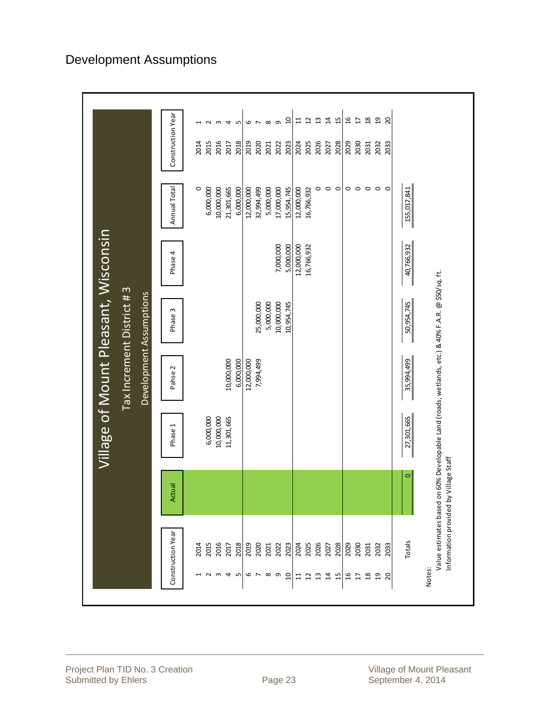| Village of Mount Pleasant, Wisconsin<br>Tax Increment District #3<br>Development Assumptions | Construction Year<br>$\mathfrak{a}$<br>$\frac{8}{16}$<br>$\mathfrak{g}$<br>$\overline{a}$<br>15<br>$\overline{c}$<br>$\mathfrak{u}$<br>$\sharp$<br>$\overline{u}$<br>吕<br>$\mathsf{c}$<br>$\infty$<br>G<br>$\sim$<br>4<br>LN.<br>6<br>$\overline{ }$<br>H<br>2014<br>2015<br>2016<br>2020<br>2026<br>2030<br>2017<br>2018<br>2019<br>2022<br>2023<br>2024<br>2025<br>2028<br>2029<br>2032<br>2021<br>2027<br>2031<br>$\circ$<br>$\circ$<br>$\circ$<br>$\circ$<br>$\circ$<br>$\circ$<br>$\circ$<br>$\circ$<br>6,000,000<br>10,000,000<br>5,000,000<br>$\circ$<br>21,301,665<br>6,000,000<br>12,000,000<br>32,994,499<br>17,000,000<br>15,954,745<br>12,000,000<br>Annual Total<br>16,766,932<br>12,000,000<br>7,000,000<br>5,000,000<br>16,766,932<br>Phase 4<br>10,000,000<br>25,000,000<br>5,000,000<br>10,954,745<br>Phase 3<br>10,000,000<br>6,000,000<br>12,000,000<br>7,994,499<br>Pahse <sub>2</sub><br>6,000,000<br>10,000,000<br>11,301,665<br>Phase 1<br>Actual | $\overline{c}$<br>2033<br>155,017,841<br>40,766,932<br>on 60% Developable Land (roads, wetlands, etc.) & 40% F.A.R. @ \$50/sq. ft.<br>50,954,745<br>35,994,499<br>27,301,665<br>Information provided by Village Staff |
|----------------------------------------------------------------------------------------------|--------------------------------------------------------------------------------------------------------------------------------------------------------------------------------------------------------------------------------------------------------------------------------------------------------------------------------------------------------------------------------------------------------------------------------------------------------------------------------------------------------------------------------------------------------------------------------------------------------------------------------------------------------------------------------------------------------------------------------------------------------------------------------------------------------------------------------------------------------------------------------------------------------------------------------------------------------------------------|-----------------------------------------------------------------------------------------------------------------------------------------------------------------------------------------------------------------------|
|                                                                                              | Construction Year<br>$\begin{tabular}{c c c c c c c c} \hline g & g & g & g & g & g & g & g & g & g & g \\ \hline g & g & g & g & g & g & g & g & g & g & g & g & g \\ \hline g & g & g & g & g & g & g & g & g & g & g & g \\ \hline \end{tabular}$<br>2016<br>2014<br>2015<br>2017<br>2032<br>$\begin{array}{c} 0 & \infty & \infty \\ 0 & \infty & \infty \end{array}$<br>$\mathsf{w}$<br>4 <sub>W</sub><br>$\overline{12}$<br>$\Xi$<br>$\overline{14}$<br>$\overline{15}$<br>16<br>$\frac{8}{16}$<br>$\overline{a}$<br>$\overline{1}$                                                                                                                                                                                                                                                                                                                                                                                                                                | Value estimates based<br>Totals<br>2033<br>Notes:<br>$\overline{c}$                                                                                                                                                   |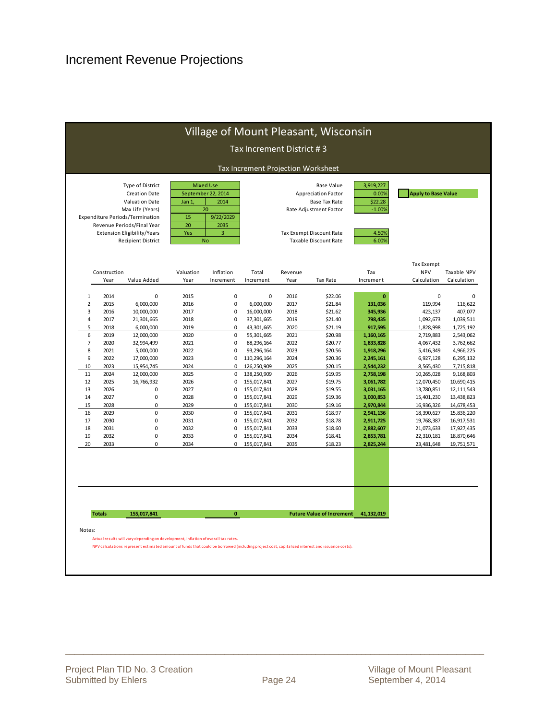|                |                      |                                                                                                                                                                                                                           |                                                |                                                                       | Tax Increment District #3          |                 |                                                                                                                                                               |                                                             |                                         |                            |
|----------------|----------------------|---------------------------------------------------------------------------------------------------------------------------------------------------------------------------------------------------------------------------|------------------------------------------------|-----------------------------------------------------------------------|------------------------------------|-----------------|---------------------------------------------------------------------------------------------------------------------------------------------------------------|-------------------------------------------------------------|-----------------------------------------|----------------------------|
|                |                      |                                                                                                                                                                                                                           |                                                |                                                                       | Tax Increment Projection Worksheet |                 |                                                                                                                                                               |                                                             |                                         |                            |
|                |                      | Type of District<br><b>Creation Date</b><br><b>Valuation Date</b><br>Max Life (Years)<br>Expenditure Periods/Termination<br>Revenue Periods/Final Year<br><b>Extension Eligibility/Years</b><br><b>Recipient District</b> | September 22, 2014<br>Jan 1<br>15<br>20<br>Yes | <b>Mixed Use</b><br>2014<br>20<br>9/22/2029<br>2035<br>3<br><b>No</b> |                                    |                 | <b>Base Value</b><br><b>Appreciation Factor</b><br><b>Base Tax Rate</b><br>Rate Adjustment Factor<br>Tax Exempt Discount Rate<br><b>Taxable Discount Rate</b> | 3,919,227<br>0.00%<br>\$22.28<br>$-1.00%$<br>4.50%<br>6.00% | <b>Apply to Base Value</b>              |                            |
|                | Construction<br>Year | Value Added                                                                                                                                                                                                               | Valuation<br>Year                              | Inflation<br>Increment                                                | Total<br>Increment                 | Revenue<br>Year | <b>Tax Rate</b>                                                                                                                                               | Tax<br>Increment                                            | Tax Exempt<br><b>NPV</b><br>Calculation | Taxable NPV<br>Calculation |
|                |                      |                                                                                                                                                                                                                           |                                                |                                                                       |                                    |                 |                                                                                                                                                               |                                                             |                                         |                            |
| $1\,$          | 2014                 | 0                                                                                                                                                                                                                         | 2015                                           | 0                                                                     | $\mathbf 0$                        | 2016            | \$22.06                                                                                                                                                       | $\mathbf{0}$                                                | $\mathbf 0$                             |                            |
| $\overline{2}$ | 2015                 | 6,000,000                                                                                                                                                                                                                 | 2016                                           | 0                                                                     | 6,000,000                          | 2017            | \$21.84                                                                                                                                                       | 131,036                                                     | 119,994                                 | 116,622                    |
| 3              | 2016                 | 10,000,000                                                                                                                                                                                                                | 2017                                           | 0                                                                     | 16,000,000                         | 2018            | \$21.62                                                                                                                                                       | 345,936                                                     | 423,137                                 | 407,077                    |
| $\overline{4}$ | 2017                 | 21,301,665                                                                                                                                                                                                                | 2018                                           | 0                                                                     | 37,301,665                         | 2019            | \$21.40                                                                                                                                                       | 798,435                                                     | 1,092,673                               | 1,039,511                  |
| 5              | 2018                 | 6,000,000                                                                                                                                                                                                                 | 2019                                           | $\Omega$                                                              | 43,301,665                         | 2020            | \$21.19                                                                                                                                                       | 917,595                                                     | 1,828,998                               | 1,725,192                  |
| 6              | 2019                 | 12,000,000                                                                                                                                                                                                                | 2020                                           | $\pmb{0}$                                                             | 55,301,665                         | 2021            | \$20.98                                                                                                                                                       | 1,160,165                                                   | 2,719,883                               | 2,543,062                  |
| $\overline{7}$ | 2020                 | 32,994,499                                                                                                                                                                                                                | 2021                                           | $\pmb{0}$                                                             | 88,296,164                         | 2022            | \$20.77                                                                                                                                                       | 1,833,828                                                   | 4,067,432                               | 3,762,662                  |
| 8<br>9         | 2021<br>2022         | 5,000,000<br>17,000,000                                                                                                                                                                                                   | 2022<br>2023                                   | 0<br>0                                                                | 93,296,164<br>110,296,164          | 2023<br>2024    | \$20.56<br>\$20.36                                                                                                                                            | 1,918,296                                                   | 5,416,349                               | 4,966,225<br>6,295,132     |
| 10             | 2023                 | 15,954,745                                                                                                                                                                                                                | 2024                                           | 0                                                                     | 126,250,909                        | 2025            | \$20.15                                                                                                                                                       | 2,245,161<br>2,544,232                                      | 6,927,128                               | 7,715,818                  |
| 11             | 2024                 | 12,000,000                                                                                                                                                                                                                | 2025                                           | 0                                                                     | 138,250,909                        | 2026            | \$19.95                                                                                                                                                       | 2,758,198                                                   | 8,565,430<br>10,265,028                 | 9,168,803                  |
| 12             | 2025                 | 16,766,932                                                                                                                                                                                                                | 2026                                           | 0                                                                     | 155,017,841                        | 2027            | \$19.75                                                                                                                                                       | 3,061,782                                                   | 12,070,450                              | 10,690,415                 |
| 13             | 2026                 | 0                                                                                                                                                                                                                         | 2027                                           | 0                                                                     | 155,017,841                        | 2028            | \$19.55                                                                                                                                                       | 3,031,165                                                   | 13,780,851                              | 12, 111, 543               |
| 14             | 2027                 | 0                                                                                                                                                                                                                         | 2028                                           | 0                                                                     | 155,017,841                        | 2029            | \$19.36                                                                                                                                                       | 3,000,853                                                   | 15,401,230                              | 13,438,823                 |
| 15             | 2028                 | 0                                                                                                                                                                                                                         | 2029                                           | 0                                                                     | 155,017,841                        | 2030            | \$19.16                                                                                                                                                       | 2,970,844                                                   | 16,936,326                              | 14,678,453                 |
| 16             | 2029                 | 0                                                                                                                                                                                                                         | 2030                                           | 0                                                                     | 155,017,841                        | 2031            | \$18.97                                                                                                                                                       | 2,941,136                                                   | 18,390,627                              | 15,836,220                 |
| 17             | 2030                 | 0                                                                                                                                                                                                                         | 2031                                           | 0                                                                     | 155,017,841                        | 2032            | \$18.78                                                                                                                                                       | 2,911,725                                                   | 19,768,387                              | 16,917,531                 |
| 18             | 2031                 | 0                                                                                                                                                                                                                         | 2032                                           | 0                                                                     | 155,017,841                        | 2033            | \$18.60                                                                                                                                                       | 2,882,607                                                   | 21,073,633                              | 17,927,435                 |
| 19             | 2032                 | 0                                                                                                                                                                                                                         | 2033                                           | 0                                                                     | 155,017,841                        | 2034            | \$18.41                                                                                                                                                       | 2,853,781                                                   | 22,310,181                              | 18,870,646                 |
| 20             | 2033                 | 0                                                                                                                                                                                                                         | 2034                                           | $\Omega$                                                              | 155,017,841                        | 2035            | \$18.23                                                                                                                                                       | 2,825,244                                                   | 23,481,648                              | 19,751,571                 |
|                |                      |                                                                                                                                                                                                                           |                                                |                                                                       |                                    |                 |                                                                                                                                                               |                                                             |                                         |                            |
|                | <b>Totals</b>        | 155,017,841                                                                                                                                                                                                               |                                                | $\mathbf{0}$                                                          |                                    |                 | <b>Future Value of Increment</b>                                                                                                                              | 41,132,019                                                  |                                         |                            |
| Notes:         |                      | Actual results will vary depending on development, inflation of overall tax rates.                                                                                                                                        |                                                |                                                                       |                                    |                 |                                                                                                                                                               |                                                             |                                         |                            |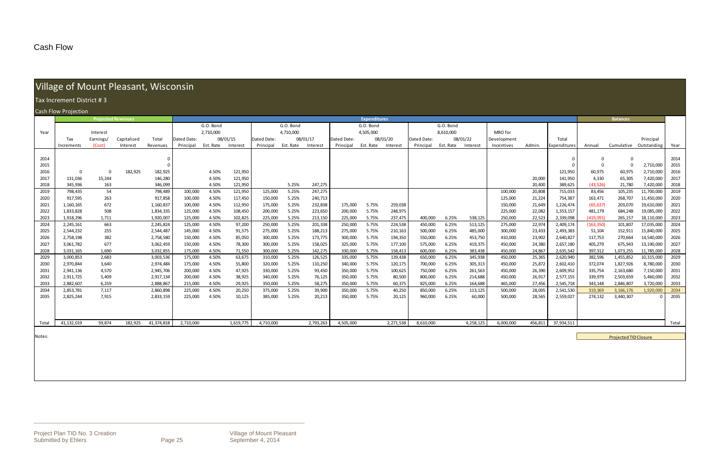\_\_\_\_\_\_\_\_\_\_\_\_\_\_\_\_\_\_\_\_\_\_\_\_\_\_\_\_\_\_\_\_\_\_\_\_\_\_\_\_\_\_\_\_\_\_\_\_\_\_\_\_\_\_\_\_\_\_\_\_\_\_\_\_\_\_\_\_\_\_\_\_\_\_\_\_\_\_\_\_\_\_\_\_\_\_\_\_\_\_\_\_

#### Cash Flow

# Village of Mount Pleasant, Wisconsin

|              | Tax Increment District #3 |                           |             |                        |                    |                |                  |                    |                |                    |                    |                     |                    |                    |                |                    |                    |                  |                        |                        |                              |                          |              |
|--------------|---------------------------|---------------------------|-------------|------------------------|--------------------|----------------|------------------|--------------------|----------------|--------------------|--------------------|---------------------|--------------------|--------------------|----------------|--------------------|--------------------|------------------|------------------------|------------------------|------------------------------|--------------------------|--------------|
|              | Cash Flow Projection      |                           |             |                        |                    |                |                  |                    |                |                    |                    |                     |                    |                    |                |                    |                    |                  |                        |                        |                              |                          |              |
|              |                           | <b>Projected Revenues</b> |             |                        |                    |                |                  |                    |                |                    |                    | <b>Expenditures</b> |                    |                    |                |                    |                    |                  |                        |                        | <b>Balances</b>              |                          |              |
|              |                           |                           |             |                        |                    | G.O. Bond      |                  |                    | G.O. Bond      |                    |                    | G.O. Bond           |                    |                    | G.O. Bond      |                    |                    |                  |                        |                        |                              |                          |              |
| Year         |                           | Interest                  |             |                        |                    | 2,710,000      |                  |                    | 4,710,000      |                    |                    | 4,505,000           |                    |                    | 8,610,000      |                    | MRO for            |                  |                        |                        |                              |                          |              |
|              | Tax                       | Earnings/                 | Capitalized | Total                  | Dated Date:        |                | 08/01/15         | Dated Date:        |                | 08/01/17           | Dated Date:        |                     | 08/01/20           | Dated Date:        |                | 08/01/22           | Development        |                  | Total                  |                        |                              | Principal                |              |
|              | Increments                | (Cost)                    | Interest    | Revenues               | Principal          | Est. Rate      | Interest         | Principal          | Est. Rate      | Interest           | Principal          | Est. Rate           | Interest           | Principal          | Est. Rate      | Interest           | Incentives         | Admin.           | Expenditures           | Annual                 | Cumulative                   | Outstanding              | Year         |
|              |                           |                           |             |                        |                    |                |                  |                    |                |                    |                    |                     |                    |                    |                |                    |                    |                  |                        |                        |                              |                          |              |
| 2014         |                           |                           |             |                        |                    |                |                  |                    |                |                    |                    |                     |                    |                    |                |                    |                    |                  |                        |                        | $\overline{0}$               |                          | 2014         |
| 2015         |                           |                           |             |                        |                    |                |                  |                    |                |                    |                    |                     |                    |                    |                |                    |                    |                  |                        | $\mathbf 0$            | $\overline{0}$               | 2,710,000                | 2015         |
| 2016         | $\mathbf 0$               | $\overline{0}$            | 182,925     | 182,925                |                    | 4.50%          | 121,950          |                    |                |                    |                    |                     |                    |                    |                |                    |                    |                  | 121,950                | 60,975                 | 60,975                       | 2,710,000                | 2016         |
| 2017         | 131,036                   | 15,244                    |             | 146,280                |                    | 4.50%          | 121,950          |                    |                |                    |                    |                     |                    |                    |                |                    |                    | 20,000           | 141,950                | 4,330                  | 65,305                       | 7,420,000                | 2017         |
| 2018         | 345,936                   | 163                       |             | 346,099                |                    | 4.50%          | 121,950          |                    | 5.25%          | 247,275            |                    |                     |                    |                    |                |                    |                    | 20,400           | 389,625                | (43, 526)              | 21,780                       | 7,420,000                | 2018         |
| 2019         | 798,435                   | 54                        |             | 798,489                | 100,000            | 4.50%          | 121,950          | 125,000            | 5.25%          | 247,275            |                    |                     |                    |                    |                |                    | 100,000            | 20,808           | 715,033                | 83,456                 | 105,235                      | 11,700,000               | 2019         |
| 2020         | 917,595                   | 263                       |             | 917,858                | 100,000            | 4.50%          | 117,450          | 150,000            | 5.25%          | 240,713            |                    |                     |                    |                    |                |                    | 125,000            | 21,224           | 754,387                | 163,471                | 268,707                      | 11,450,000               | 2020         |
| 2021         | 1,160,165                 | 672                       |             | 1,160,837              | 100,000            | 4.50%          | 112,950          | 175,000            | 5.25%          | 232,838            | 175,000            | 5.75%               | 259,038            |                    |                |                    | 150,000            | 21,649           | 1,226,474              | (65, 637)              | 203,070                      | 19,610,000               | 2021         |
| 2022         | 1,833,828                 | 508                       |             | 1,834,335              | 125,000            | 4.50%          | 108,450          | 200,000            | 5.25%          | 223,650            | 200,000            | 5.75%               | 248,975            |                    |                |                    | 225,000            | 22,082           | 1,353,157              | 481,179                | 684,248                      | 19,085,000               | 2022         |
| 2023<br>2024 | 1,918,296                 | 1,711                     |             | 1,920,007<br>2,245,824 | 125,000<br>125,000 | 4.50%<br>4.50% | 102,825          | 225,000<br>250,000 | 5.25%<br>5.25% | 213,150<br>201,338 | 225,000<br>250,000 | 5.75%<br>5.75%      | 237,475<br>224,538 | 400,000<br>450,000 | 6.25%<br>6.25% | 538,125<br>513,125 | 250,000<br>275,000 | 22,523<br>22,974 | 2,339,098<br>2,409,174 | (419,091<br>(163, 350) | 265,157<br>101,807           | 18,110,000<br>17,035,000 | 2023<br>2024 |
|              | 2,245,161<br>2,544,232    | 663<br>255                |             | 2,544,487              | 145,000            | 4.50%          | 97,200<br>91,575 | 275,000            | 5.25%          | 188,213            | 275,000            | 5.75%               | 210,163            | 500,000            | 6.25%          | 485,000            | 300,000            | 23,433           | 2,493,383              | 51,104                 | 152,911                      | 15,840,000               | 2025         |
| 2025<br>2026 | 2,758,198                 | 382                       |             | 2,758,580              | 150,000            | 4.50%          | 85,050           | 300,000            | 5.25%          | 173,775            | 300,000            | 5.75%               | 194,350            | 550,000            | 6.25%          | 453,750            | 410,000            | 23,902           | 2,640,827              | 117,753                | 270,664                      | 14,540,000               | 2026         |
| 2027         | 3,061,782                 | 677                       |             | 3,062,459              | 150,000            | 4.50%          | 78,300           | 300,000            | 5.25%          | 158,025            | 325,000            | 5.75%               | 177,100            | 575,000            | 6.25%          | 419,375            | 450,000            | 24,380           | 2,657,180              | 405,279                | 675,943                      | 13,190,000               | 2027         |
| 2028         | 3,031,165                 | 1,690                     |             | 3,032,855              | 175,000            | 4.50%          | 71,550           | 300,000            | 5.25%          | 142,275            | 330,000            | 5.75%               | 158,413            | 600,000            | 6.25%          | 383,438            | 450,000            | 24,867           | 2,635,542              | 397,312                | 1,073,255                    | 11,785,000               | 2028         |
| 2029         | 3,000,853                 | 2,683                     |             | 3,003,536              | 175,000            | 4.50%          | 63,675           | 310,000            | 5.25%          | 126,525            | 335,000            | 5.75%               | 139,438            | 650,000            | 6.25%          | 345,938            | 450,000            | 25,365           | 2,620,940              | 382,596                | 1,455,852                    | 10,315,000               | 2029         |
| 2030         | 2,970,844                 | 3,640                     |             | 2,974,484              | 175,000            | 4.50%          | 55,800           | 320,000            | 5.25%          | 110,250            | 340,000            | 5.75%               | 120,175            | 700,000            | 6.25%          | 305,313            | 450,000            | 25,872           | 2,602,410              | 372,074                | 1,827,926                    | 8,780,000                | 2030         |
| 2031         | 2,941,136                 | 4,570                     |             | 2,945,706              | 200,000            | 4.50%          | 47,925           | 330,000            | 5.25%          | 93,450             | 350,000            | 5.75%               | 100,625            | 750,000            | 6.25%          | 261,563            | 450,000            | 26,390           | 2,609,952              | 335,754                | 2,163,680                    | 7,150,000                | 2031         |
| 2032         | 2,911,725                 | 5,409                     |             | 2,917,134              | 200,000            | 4.50%          | 38,925           | 340,000            | 5.25%          | 76,125             | 350,000            | 5.75%               | 80,500             | 800,000            | 6.25%          | 214,688            | 450,000            | 26,917           | 2,577,155              | 339,979                | 2,503,659                    | 5,460,000                | 2032         |
| 2033         | 2,882,607                 | 6,259                     |             | 2,888,867              | 215,000            | 4.50%          | 29,925           | 350,000            | 5.25%          | 58,275             | 350,000            | 5.75%               | 60,375             | 825,000            | 6.25%          | 164,688            | 465,000            | 27,456           | 2,545,718              | 343,148                | 2,846,807                    | 3,720,000                | 2033         |
| 2034         | 2,853,781                 | 7,117                     |             | 2,860,898              | 225,000            | 4.50%          | 20,250           | 375,000            | 5.25%          | 39,900             | 350,000            | 5.75%               | 40,250             | 850,000            | 6.25%          | 113,125            | 500,000            | 28,005           | 2,541,530              | 319,369                | 3,166,176                    | 1,920,000                | 2034         |
| 2035         | 2,825,244                 | 7,915                     |             | 2,833,159              | 225,000            | 4.50%          | 10,125           | 385,000            | 5.25%          | 20,213             | 350,000            | 5.75%               | 20,125             | 960,000            | 6.25%          | 60,000             | 500,000            | 28,565           | 2,559,027              | 274,132                | 3,440,307                    |                          | 2035         |
|              |                           |                           |             |                        |                    |                |                  |                    |                |                    |                    |                     |                    |                    |                |                    |                    |                  |                        |                        |                              |                          |              |
|              |                           |                           |             |                        |                    |                |                  |                    |                |                    |                    |                     |                    |                    |                |                    |                    |                  |                        |                        |                              |                          |              |
|              |                           |                           |             |                        |                    |                |                  |                    |                |                    |                    |                     |                    |                    |                |                    |                    |                  |                        |                        |                              |                          |              |
| Total        | 41,132,019                | 59,874                    | 182,925     | 41,374,818             | 2,710,000          |                | 1,619,775        | 4,710,000          |                | 2,793,263          | 4,505,000          |                     | 2,271,538          | 8,610,000          |                | 4,258,125          | 6,000,000          | 456,811          | 37,934,511             |                        |                              |                          | Total        |
|              |                           |                           |             |                        |                    |                |                  |                    |                |                    |                    |                     |                    |                    |                |                    |                    |                  |                        |                        |                              |                          |              |
| Notes:       |                           |                           |             |                        |                    |                |                  |                    |                |                    |                    |                     |                    |                    |                |                    |                    |                  |                        |                        | <b>Projected TID Closure</b> |                          |              |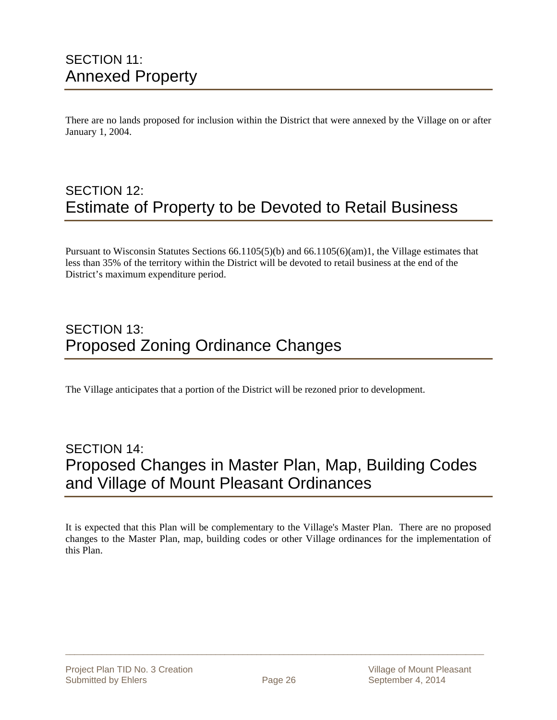### SECTION 11: Annexed Property

There are no lands proposed for inclusion within the District that were annexed by the Village on or after January 1, 2004.

### SECTION 12: Estimate of Property to be Devoted to Retail Business

Pursuant to Wisconsin Statutes Sections 66.1105(5)(b) and 66.1105(6)(am)1, the Village estimates that less than 35% of the territory within the District will be devoted to retail business at the end of the District's maximum expenditure period.

### SECTION 13: Proposed Zoning Ordinance Changes

The Village anticipates that a portion of the District will be rezoned prior to development.

### SECTION 14: Proposed Changes in Master Plan, Map, Building Codes and Village of Mount Pleasant Ordinances

It is expected that this Plan will be complementary to the Village's Master Plan. There are no proposed changes to the Master Plan, map, building codes or other Village ordinances for the implementation of this Plan.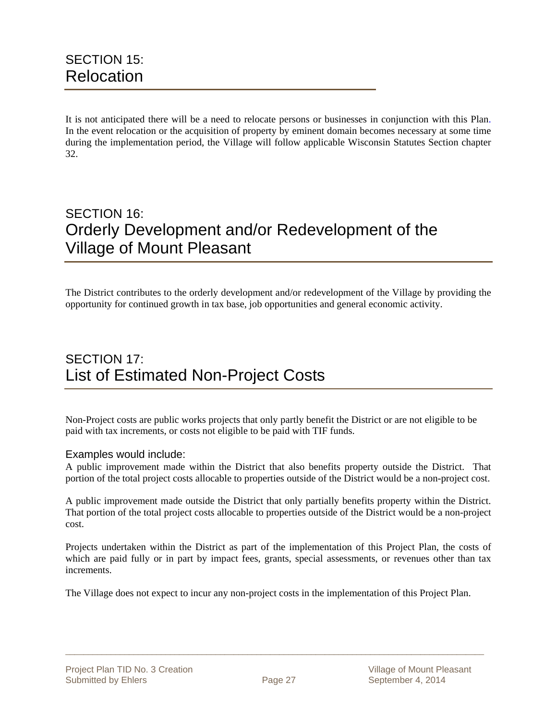It is not anticipated there will be a need to relocate persons or businesses in conjunction with this Plan. In the event relocation or the acquisition of property by eminent domain becomes necessary at some time during the implementation period, the Village will follow applicable Wisconsin Statutes Section chapter 32.

### SECTION 16: Orderly Development and/or Redevelopment of the Village of Mount Pleasant

The District contributes to the orderly development and/or redevelopment of the Village by providing the opportunity for continued growth in tax base, job opportunities and general economic activity.

### SECTION 17: List of Estimated Non-Project Costs

Non-Project costs are public works projects that only partly benefit the District or are not eligible to be paid with tax increments, or costs not eligible to be paid with TIF funds.

#### Examples would include:

A public improvement made within the District that also benefits property outside the District. That portion of the total project costs allocable to properties outside of the District would be a non-project cost.

A public improvement made outside the District that only partially benefits property within the District. That portion of the total project costs allocable to properties outside of the District would be a non-project cost.

Projects undertaken within the District as part of the implementation of this Project Plan, the costs of which are paid fully or in part by impact fees, grants, special assessments, or revenues other than tax increments.

The Village does not expect to incur any non-project costs in the implementation of this Project Plan.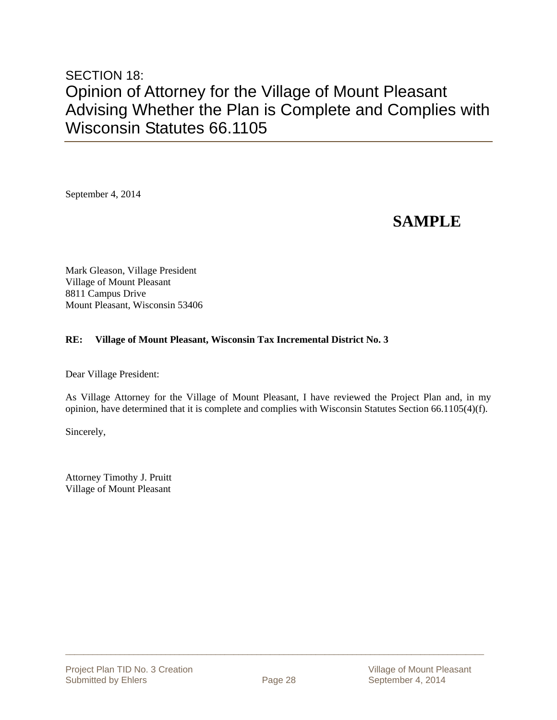### SECTION 18: Opinion of Attorney for the Village of Mount Pleasant Advising Whether the Plan is Complete and Complies with Wisconsin Statutes 66.1105

September 4, 2014

### **SAMPLE**

Mark Gleason, Village President Village of Mount Pleasant 8811 Campus Drive Mount Pleasant, Wisconsin 53406

#### **RE: Village of Mount Pleasant, Wisconsin Tax Incremental District No. 3**

Dear Village President:

As Village Attorney for the Village of Mount Pleasant, I have reviewed the Project Plan and, in my opinion, have determined that it is complete and complies with Wisconsin Statutes Section 66.1105(4)(f).

Sincerely,

Attorney Timothy J. Pruitt Village of Mount Pleasant